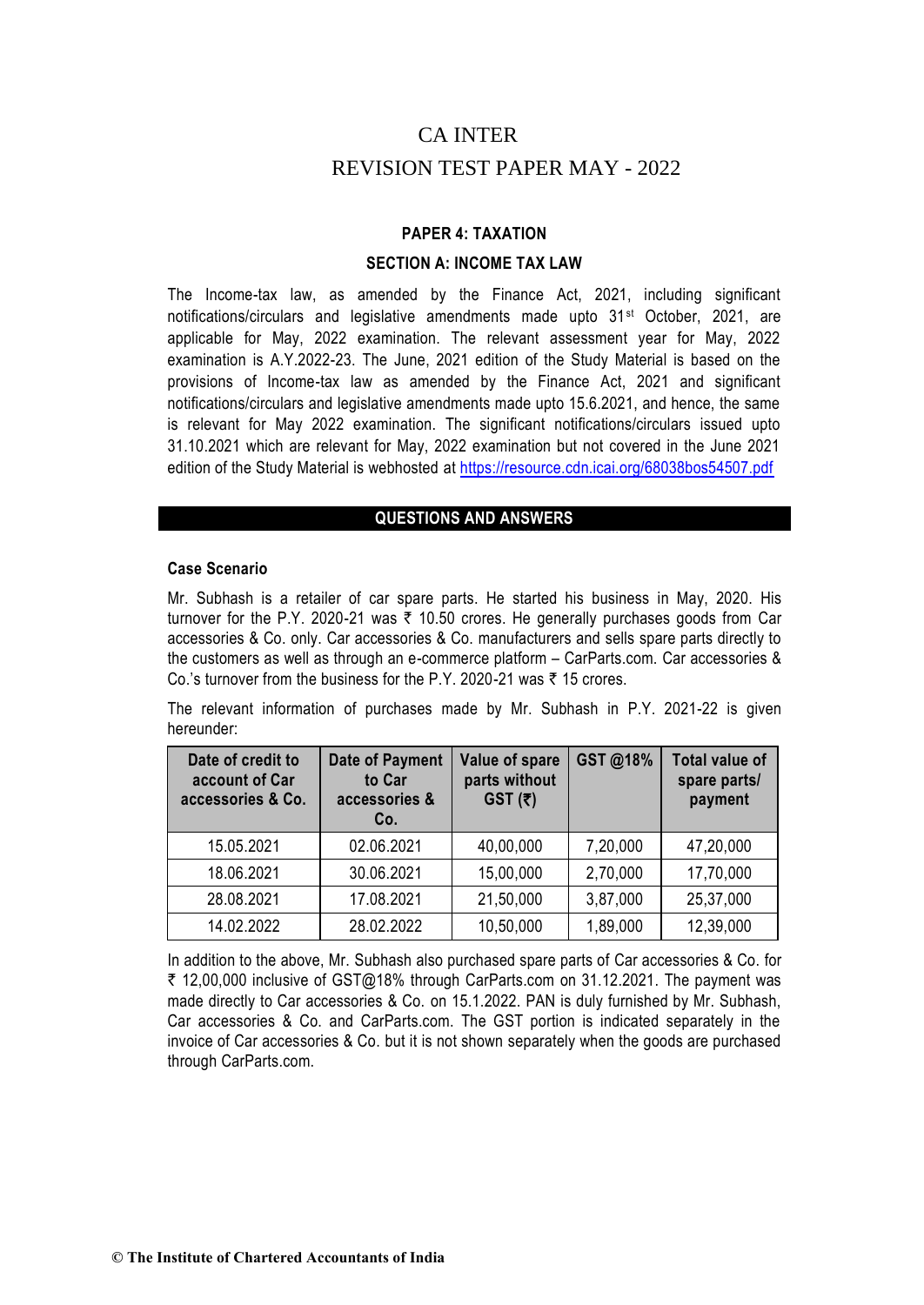# CA INTER

# REVISION TEST PAPER MAY - 2022

# **PAPER 4: TAXATION**

## **SECTION A: INCOME TAX LAW**

The Income-tax law, as amended by the Finance Act, 2021, including significant notifications/circulars and legislative amendments made upto 31st October, 2021, are applicable for May, 2022 examination. The relevant assessment year for May, 2022 examination is A.Y.2022-23. The June, 2021 edition of the Study Material is based on the provisions of Income-tax law as amended by the Finance Act, 2021 and significant notifications/circulars and legislative amendments made upto 15.6.2021, and hence, the same is relevant for May 2022 examination. The significant notifications/circulars issued upto 31.10.2021 which are relevant for May, 2022 examination but not covered in the June 2021 edition of the Study Material is webhosted at https://resource.cdn.icai.org/68038bos54507.pdf

# **QUESTIONS AND ANSWERS**

### **Case Scenario**

Mr. Subhash is a retailer of car spare parts. He started his business in May, 2020. His turnover for the P.Y. 2020-21 was  $\bar{\tau}$  10.50 crores. He generally purchases goods from Car accessories & Co. only. Car accessories & Co. manufacturers and sells spare parts directly to the customers as well as through an e-commerce platform – CarParts.com. Car accessories & Co.'s turnover from the business for the P.Y. 2020-21 was  $\bar{\tau}$  15 crores.

The relevant information of purchases made by Mr. Subhash in P.Y. 2021-22 is given hereunder:

| Date of credit to<br>account of Car<br>accessories & Co. | <b>Date of Payment</b><br>to Car<br>accessories &<br>Co. | Value of spare<br>parts without<br>$GST(\bar{z})$ | GST@18%  | <b>Total value of</b><br>spare parts/<br>payment |
|----------------------------------------------------------|----------------------------------------------------------|---------------------------------------------------|----------|--------------------------------------------------|
| 15.05.2021                                               | 02.06.2021                                               | 40,00,000                                         | 7,20,000 | 47,20,000                                        |
| 18.06.2021                                               | 30.06.2021                                               | 15,00,000                                         | 2,70,000 | 17,70,000                                        |
| 28.08.2021                                               | 17.08.2021                                               | 21,50,000                                         | 3,87,000 | 25,37,000                                        |
| 14.02.2022                                               | 28.02.2022                                               | 10,50,000                                         | 1,89,000 | 12,39,000                                        |

In addition to the above, Mr. Subhash also purchased spare parts of Car accessories & Co. for ₹ 12,00,000 inclusive of GST@18% through CarParts.com on 31.12.2021. The payment was made directly to Car accessories & Co. on 15.1.2022. PAN is duly furnished by Mr. Subhash, Car accessories & Co. and CarParts.com. The GST portion is indicated separately in the invoice of Car accessories & Co. but it is not shown separately when the goods are purchased through CarParts.com.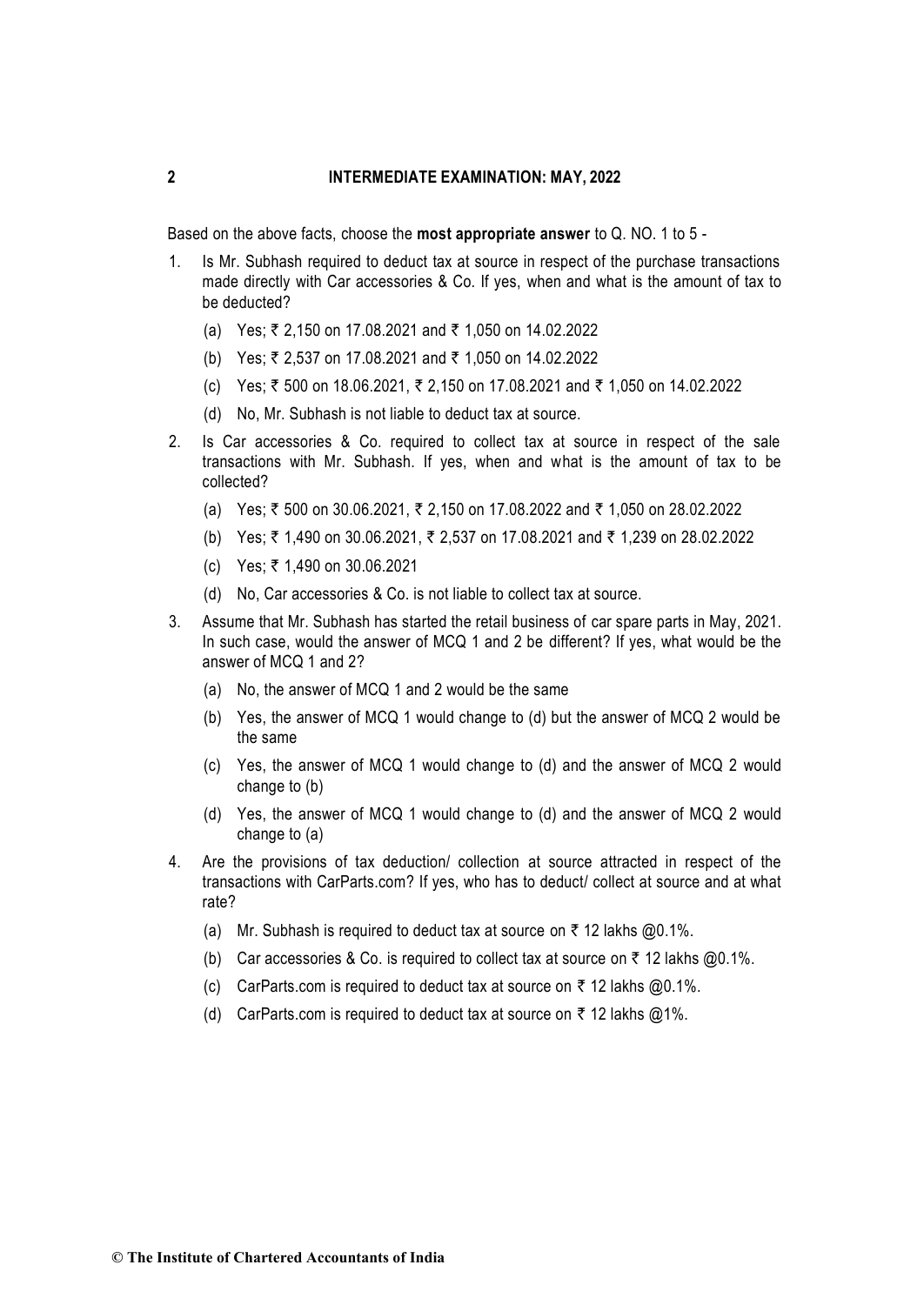Based on the above facts, choose the **most appropriate answer** to Q. NO. 1 to 5 -

- 1. Is Mr. Subhash required to deduct tax at source in respect of the purchase transactions made directly with Car accessories & Co. If yes, when and what is the amount of tax to be deducted?
	- (a) Yes; ₹ 2,150 on 17.08.2021 and ₹ 1,050 on 14.02.2022
	- (b) Yes; ₹ 2,537 on 17.08.2021 and ₹ 1,050 on 14.02.2022
	- (c) Yes; ₹ 500 on 18.06.2021, ₹ 2,150 on 17.08.2021 and ₹ 1,050 on 14.02.2022
	- (d) No, Mr. Subhash is not liable to deduct tax at source.
- 2. Is Car accessories & Co. required to collect tax at source in respect of the sale transactions with Mr. Subhash. If yes, when and what is the amount of tax to be collected?
	- (a) Yes; ₹ 500 on 30.06.2021, ₹ 2,150 on 17.08.2022 and ₹ 1,050 on 28.02.2022
	- (b) Yes; ₹ 1,490 on 30.06.2021, ₹ 2,537 on 17.08.2021 and ₹ 1,239 on 28.02.2022
	- (c) Yes; ₹ 1,490 on 30.06.2021
	- (d) No, Car accessories & Co. is not liable to collect tax at source.
- 3. Assume that Mr. Subhash has started the retail business of car spare parts in May, 2021. In such case, would the answer of MCQ 1 and 2 be different? If yes, what would be the answer of MCQ 1 and 2?
	- (a) No, the answer of MCQ 1 and 2 would be the same
	- (b) Yes, the answer of MCQ 1 would change to (d) but the answer of MCQ 2 would be the same
	- (c) Yes, the answer of MCQ 1 would change to (d) and the answer of MCQ 2 would change to (b)
	- (d) Yes, the answer of MCQ 1 would change to (d) and the answer of MCQ 2 would change to (a)
- 4. Are the provisions of tax deduction/ collection at source attracted in respect of the transactions with CarParts.com? If yes, who has to deduct/ collect at source and at what rate?
	- (a) Mr. Subhash is required to deduct tax at source on  $\bar{\tau}$  12 lakhs @0.1%.
	- (b) Car accessories & Co. is required to collect tax at source on  $\bar{\tau}$  12 lakhs @0.1%.
	- (c) CarParts.com is required to deduct tax at source on  $\bar{\tau}$  12 lakhs @0.1%.
	- (d) CarParts.com is required to deduct tax at source on  $\bar{\tau}$  12 lakhs @1%.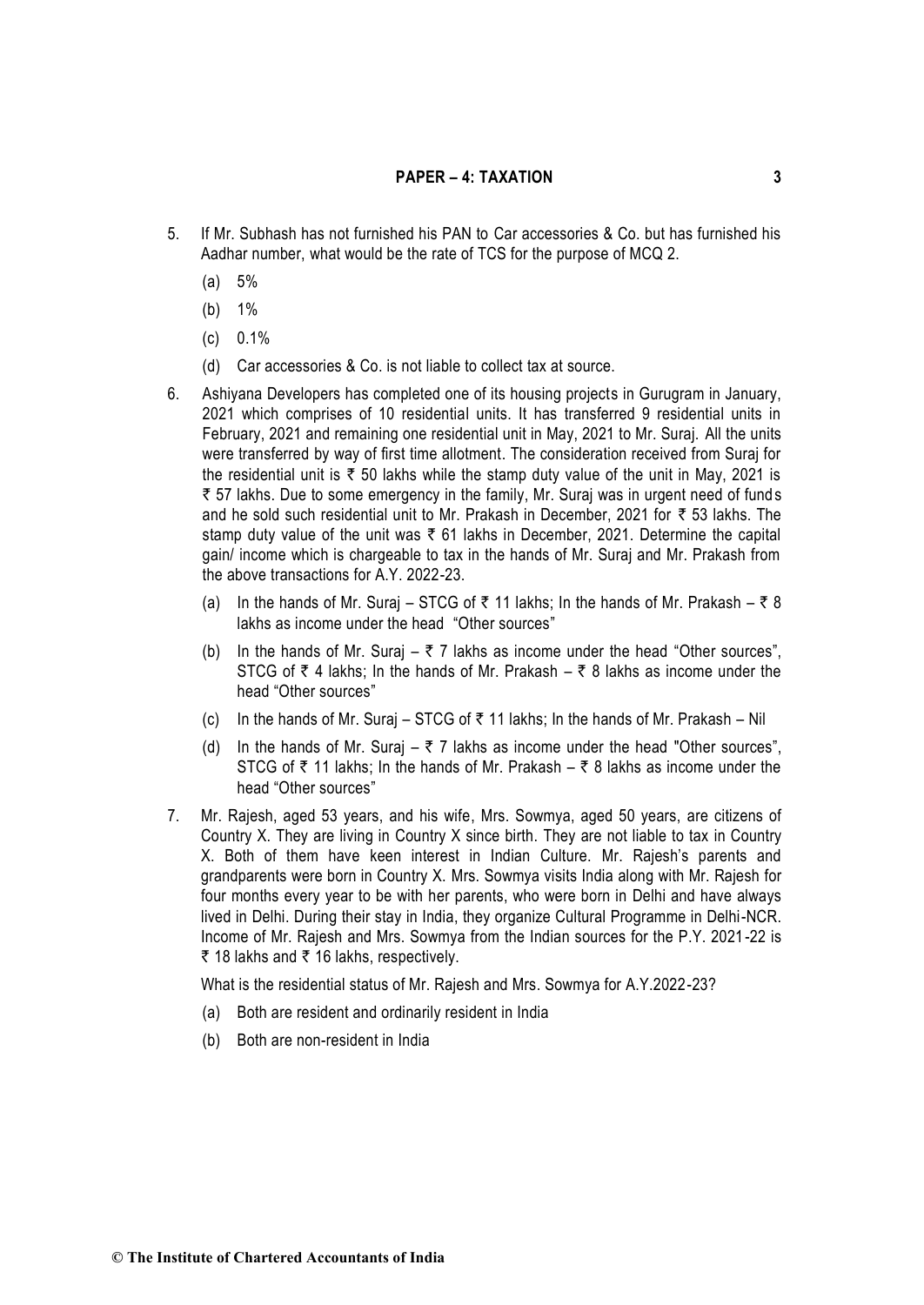- 5. If Mr. Subhash has not furnished his PAN to Car accessories & Co. but has furnished his Aadhar number, what would be the rate of TCS for the purpose of MCQ 2.
	- (a) 5%
	- (b) 1%
	- (c) 0.1%
	- (d) Car accessories & Co. is not liable to collect tax at source.
- 6. Ashiyana Developers has completed one of its housing projects in Gurugram in January, 2021 which comprises of 10 residential units. It has transferred 9 residential units in February, 2021 and remaining one residential unit in May, 2021 to Mr. Suraj. All the units were transferred by way of first time allotment. The consideration received from Suraj for the residential unit is  $\bar{\tau}$  50 lakhs while the stamp duty value of the unit in May, 2021 is ₹ 57 lakhs. Due to some emergency in the family, Mr. Suraj was in urgent need of funds and he sold such residential unit to Mr. Prakash in December, 2021 for  $\bar{\tau}$  53 lakhs. The stamp duty value of the unit was  $\bar{\tau}$  61 lakhs in December, 2021. Determine the capital gain/ income which is chargeable to tax in the hands of Mr. Suraj and Mr. Prakash from the above transactions for A.Y. 2022-23.
	- (a) In the hands of Mr. Suraj STCG of  $\bar{\tau}$  11 lakhs; In the hands of Mr. Prakash  $\bar{\tau}$  8 lakhs as income under the head "Other sources"
	- (b) In the hands of Mr. Suraj  $\overline{z}$  7 lakhs as income under the head "Other sources", STCG of  $\bar{\tau}$  4 lakhs; In the hands of Mr. Prakash –  $\bar{\tau}$  8 lakhs as income under the head "Other sources"
	- (c) In the hands of Mr. Suraj STCG of  $\bar{\tau}$  11 lakhs; In the hands of Mr. Prakash Nil
	- (d) In the hands of Mr. Suraj  $\overline{z}$  7 lakhs as income under the head "Other sources", STCG of  $\bar{\tau}$  11 lakhs; In the hands of Mr. Prakash –  $\bar{\tau}$  8 lakhs as income under the head "Other sources"
- 7. Mr. Rajesh, aged 53 years, and his wife, Mrs. Sowmya, aged 50 years, are citizens of Country X. They are living in Country X since birth. They are not liable to tax in Country X. Both of them have keen interest in Indian Culture. Mr. Rajesh's parents and grandparents were born in Country X. Mrs. Sowmya visits India along with Mr. Rajesh for four months every year to be with her parents, who were born in Delhi and have always lived in Delhi. During their stay in India, they organize Cultural Programme in Delhi-NCR. Income of Mr. Rajesh and Mrs. Sowmya from the Indian sources for the P.Y. 2021-22 is ₹ 18 lakhs and ₹ 16 lakhs, respectively.

What is the residential status of Mr. Rajesh and Mrs. Sowmya for A.Y.2022-23?

- (a) Both are resident and ordinarily resident in India
- (b) Both are non-resident in India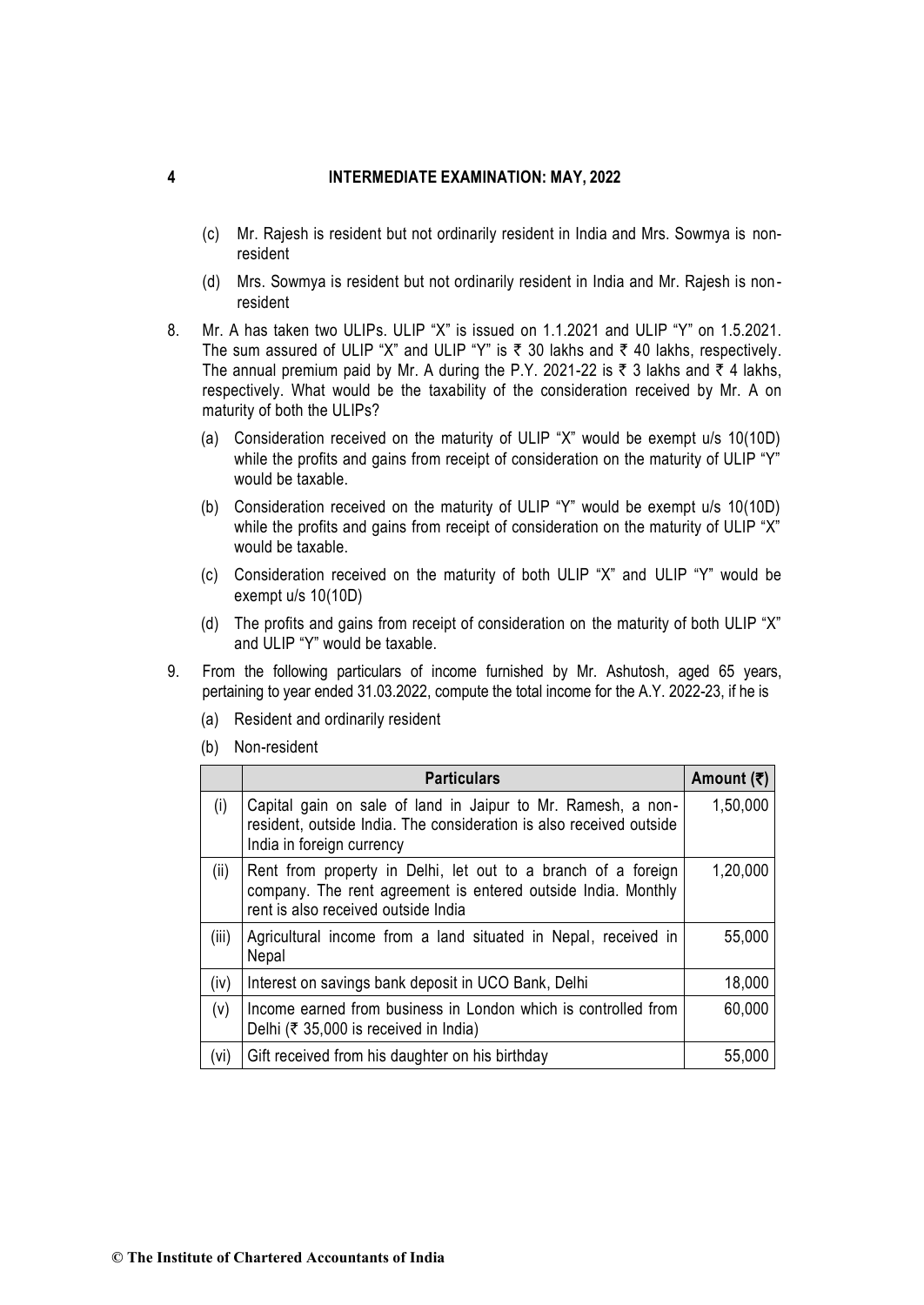- (c) Mr. Rajesh is resident but not ordinarily resident in India and Mrs. Sowmya is nonresident
- (d) Mrs. Sowmya is resident but not ordinarily resident in India and Mr. Rajesh is nonresident
- 8. Mr. A has taken two ULIPs. ULIP "X" is issued on 1.1.2021 and ULIP "Y" on 1.5.2021. The sum assured of ULIP "X" and ULIP "Y" is  $\bar{\tau}$  30 lakhs and  $\bar{\tau}$  40 lakhs, respectively. The annual premium paid by Mr. A during the P.Y. 2021-22 is  $\bar{\tau}$  3 lakhs and  $\bar{\tau}$  4 lakhs, respectively. What would be the taxability of the consideration received by Mr. A on maturity of both the ULIPs?
	- (a) Consideration received on the maturity of ULIP "X" would be exempt u/s 10(10D) while the profits and gains from receipt of consideration on the maturity of ULIP "Y" would be taxable.
	- (b) Consideration received on the maturity of ULIP "Y" would be exempt u/s 10(10D) while the profits and gains from receipt of consideration on the maturity of ULIP "X" would be taxable.
	- (c) Consideration received on the maturity of both ULIP "X" and ULIP "Y" would be exempt u/s 10(10D)
	- (d) The profits and gains from receipt of consideration on the maturity of both ULIP "X" and ULIP "Y" would be taxable.
- 9. From the following particulars of income furnished by Mr. Ashutosh, aged 65 years, pertaining to year ended 31.03.2022, compute the total income for the A.Y. 2022-23, if he is
	- (a) Resident and ordinarily resident
	- (b) Non-resident

|       | <b>Particulars</b>                                                                                                                                                    | Amount (₹) |
|-------|-----------------------------------------------------------------------------------------------------------------------------------------------------------------------|------------|
| (i)   | Capital gain on sale of land in Jaipur to Mr. Ramesh, a non-<br>resident, outside India. The consideration is also received outside<br>India in foreign currency      | 1,50,000   |
| (ii)  | Rent from property in Delhi, let out to a branch of a foreign<br>company. The rent agreement is entered outside India. Monthly<br>rent is also received outside India | 1,20,000   |
| (iii) | Agricultural income from a land situated in Nepal, received in<br>Nepal                                                                                               | 55,000     |
| (iv)  | Interest on savings bank deposit in UCO Bank, Delhi                                                                                                                   | 18,000     |
| (v)   | Income earned from business in London which is controlled from<br>Delhi (₹ 35,000 is received in India)                                                               | 60,000     |
| (vi)  | Gift received from his daughter on his birthday                                                                                                                       | 55,000     |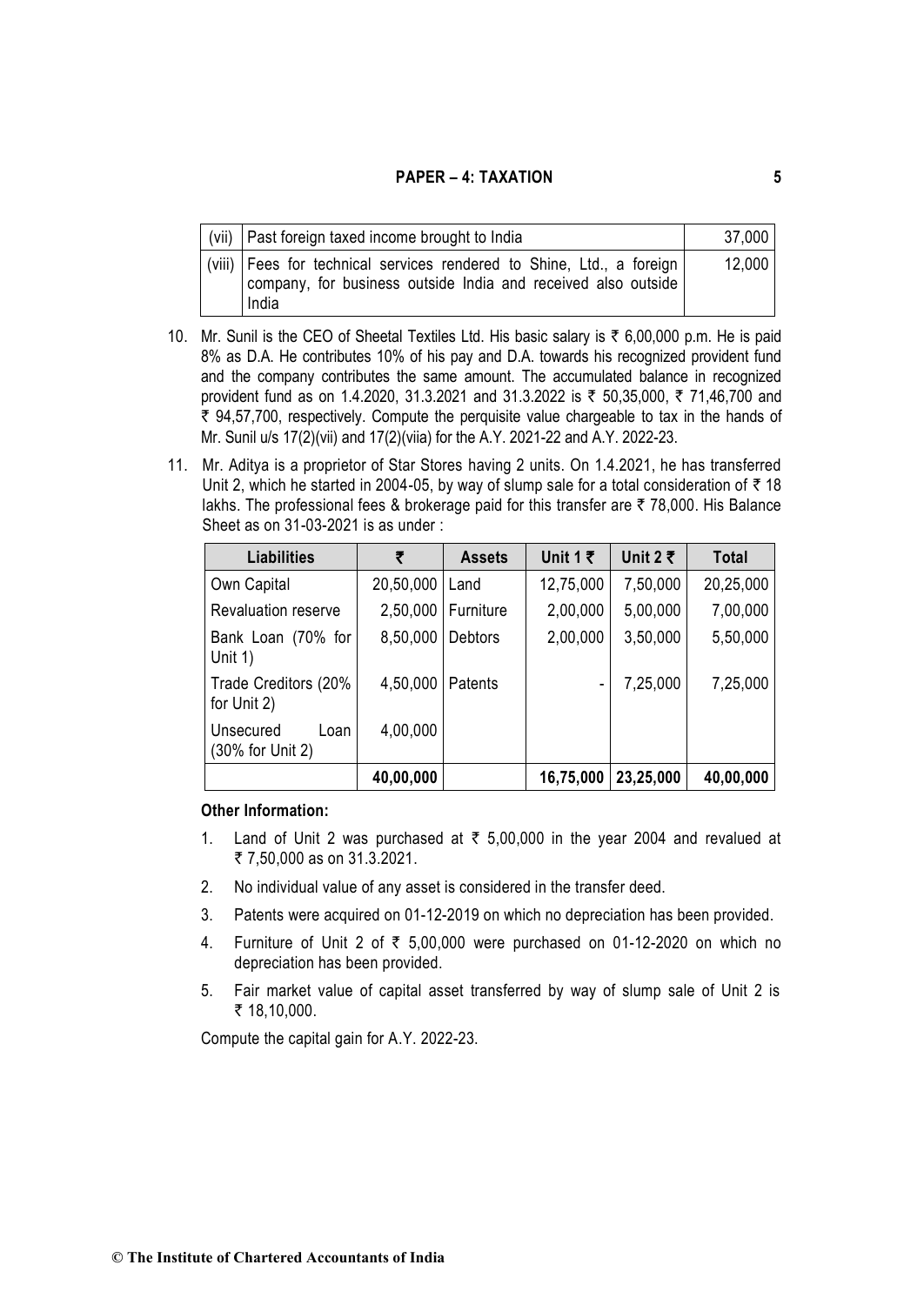| (vii)   Past foreign taxed income brought to India                                                                                                | 37,000 |
|---------------------------------------------------------------------------------------------------------------------------------------------------|--------|
| (viii)   Fees for technical services rendered to Shine, Ltd., a foreign<br>company, for business outside India and received also outside<br>India | 12,000 |

- 10. Mr. Sunil is the CEO of Sheetal Textiles Ltd. His basic salary is  $\bar{\tau}$  6,00,000 p.m. He is paid 8% as D.A. He contributes 10% of his pay and D.A. towards his recognized provident fund and the company contributes the same amount. The accumulated balance in recognized provident fund as on 1.4.2020, 31.3.2021 and 31.3.2022 is ₹ 50,35,000, ₹ 71,46,700 and  $\bar{\tau}$  94,57,700, respectively. Compute the perquisite value chargeable to tax in the hands of Mr. Sunil u/s 17(2)(vii) and 17(2)(viia) for the A.Y. 2021-22 and A.Y. 2022-23.
- 11. Mr. Aditya is a proprietor of Star Stores having 2 units. On 1.4.2021, he has transferred Unit 2, which he started in 2004-05, by way of slump sale for a total consideration of  $\bar{\tau}$  18 lakhs. The professional fees & brokerage paid for this transfer are  $\bar{\tau}$  78,000. His Balance Sheet as on 31-03-2021 is as under :

| <b>Liabilities</b>                    | ₹         | <b>Assets</b>  | Unit 1 $\bar{z}$ | Unit 2 ₹  | Total     |
|---------------------------------------|-----------|----------------|------------------|-----------|-----------|
| Own Capital                           | 20,50,000 | Land           | 12,75,000        | 7,50,000  | 20,25,000 |
| <b>Revaluation reserve</b>            | 2,50,000  | Furniture      | 2,00,000         | 5,00,000  | 7,00,000  |
| Bank Loan (70% for<br>Unit $1)$       | 8,50,000  | <b>Debtors</b> | 2,00,000         | 3,50,000  | 5,50,000  |
| Trade Creditors (20%<br>for Unit 2)   | 4,50,000  | <b>Patents</b> |                  | 7,25,000  | 7,25,000  |
| Unsecured<br>Loan<br>(30% for Unit 2) | 4,00,000  |                |                  |           |           |
|                                       | 40,00,000 |                | 16,75,000        | 23,25,000 | 40,00,000 |

## **Other Information:**

- 1. Land of Unit 2 was purchased at  $\bar{\tau}$  5,00,000 in the year 2004 and revalued at ₹ 7,50,000 as on 31,3,2021.
- 2. No individual value of any asset is considered in the transfer deed.
- 3. Patents were acquired on 01-12-2019 on which no depreciation has been provided.
- 4. Furniture of Unit 2 of  $\bar{\tau}$  5,00,000 were purchased on 01-12-2020 on which no depreciation has been provided.
- 5. Fair market value of capital asset transferred by way of slump sale of Unit 2 is ₹ 18,10,000.

Compute the capital gain for A.Y. 2022-23.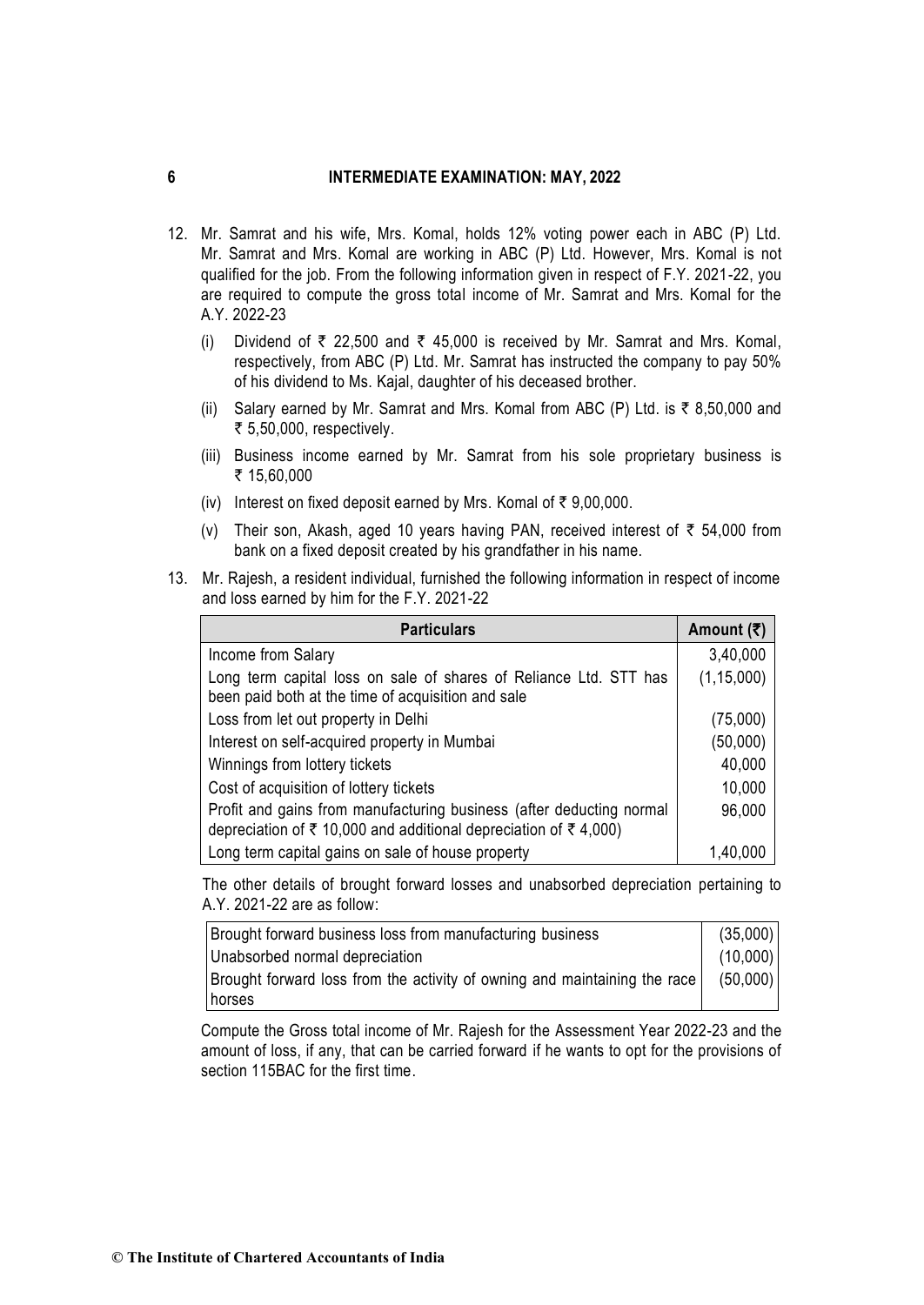- 12. Mr. Samrat and his wife, Mrs. Komal, holds 12% voting power each in ABC (P) Ltd. Mr. Samrat and Mrs. Komal are working in ABC (P) Ltd. However, Mrs. Komal is not qualified for the job. From the following information given in respect of F.Y. 2021-22, you are required to compute the gross total income of Mr. Samrat and Mrs. Komal for the A.Y. 2022-23
	- (i) Dividend of  $\overline{\tau}$  22,500 and  $\overline{\tau}$  45,000 is received by Mr. Samrat and Mrs. Komal, respectively, from ABC (P) Ltd. Mr. Samrat has instructed the company to pay 50% of his dividend to Ms. Kajal, daughter of his deceased brother.
	- (ii) Salary earned by Mr. Samrat and Mrs. Komal from ABC (P) Ltd. is  $\bar{\tau}$  8,50,000 and ₹ 5,50,000, respectively.
	- (iii) Business income earned by Mr. Samrat from his sole proprietary business is ₹ 15,60,000
	- (iv) Interest on fixed deposit earned by Mrs. Komal of  $\bar{\tau}$  9,00,000.
	- (v) Their son, Akash, aged 10 years having PAN, received interest of  $\bar{\tau}$  54,000 from bank on a fixed deposit created by his grandfather in his name.
- 13. Mr. Rajesh, a resident individual, furnished the following information in respect of income and loss earned by him for the F.Y. 2021-22

| <b>Particulars</b>                                                                                                                       | Amount $(\bar{\tau})$ |
|------------------------------------------------------------------------------------------------------------------------------------------|-----------------------|
| Income from Salary                                                                                                                       | 3,40,000              |
| Long term capital loss on sale of shares of Reliance Ltd. STT has<br>been paid both at the time of acquisition and sale                  | (1, 15, 000)          |
| Loss from let out property in Delhi                                                                                                      | (75,000)              |
| Interest on self-acquired property in Mumbai                                                                                             | (50,000)              |
| Winnings from lottery tickets                                                                                                            | 40,000                |
| Cost of acquisition of lottery tickets                                                                                                   | 10,000                |
| Profit and gains from manufacturing business (after deducting normal<br>depreciation of ₹ 10,000 and additional depreciation of ₹ 4,000) | 96,000                |
| Long term capital gains on sale of house property                                                                                        | 1.40.000              |

The other details of brought forward losses and unabsorbed depreciation pertaining to A.Y. 2021-22 are as follow:

| Brought forward business loss from manufacturing business                 |          |
|---------------------------------------------------------------------------|----------|
| Unabsorbed normal depreciation                                            | (10,000) |
| Brought forward loss from the activity of owning and maintaining the race | (50,000) |
| horses                                                                    |          |

Compute the Gross total income of Mr. Rajesh for the Assessment Year 2022-23 and the amount of loss, if any, that can be carried forward if he wants to opt for the provisions of section 115BAC for the first time.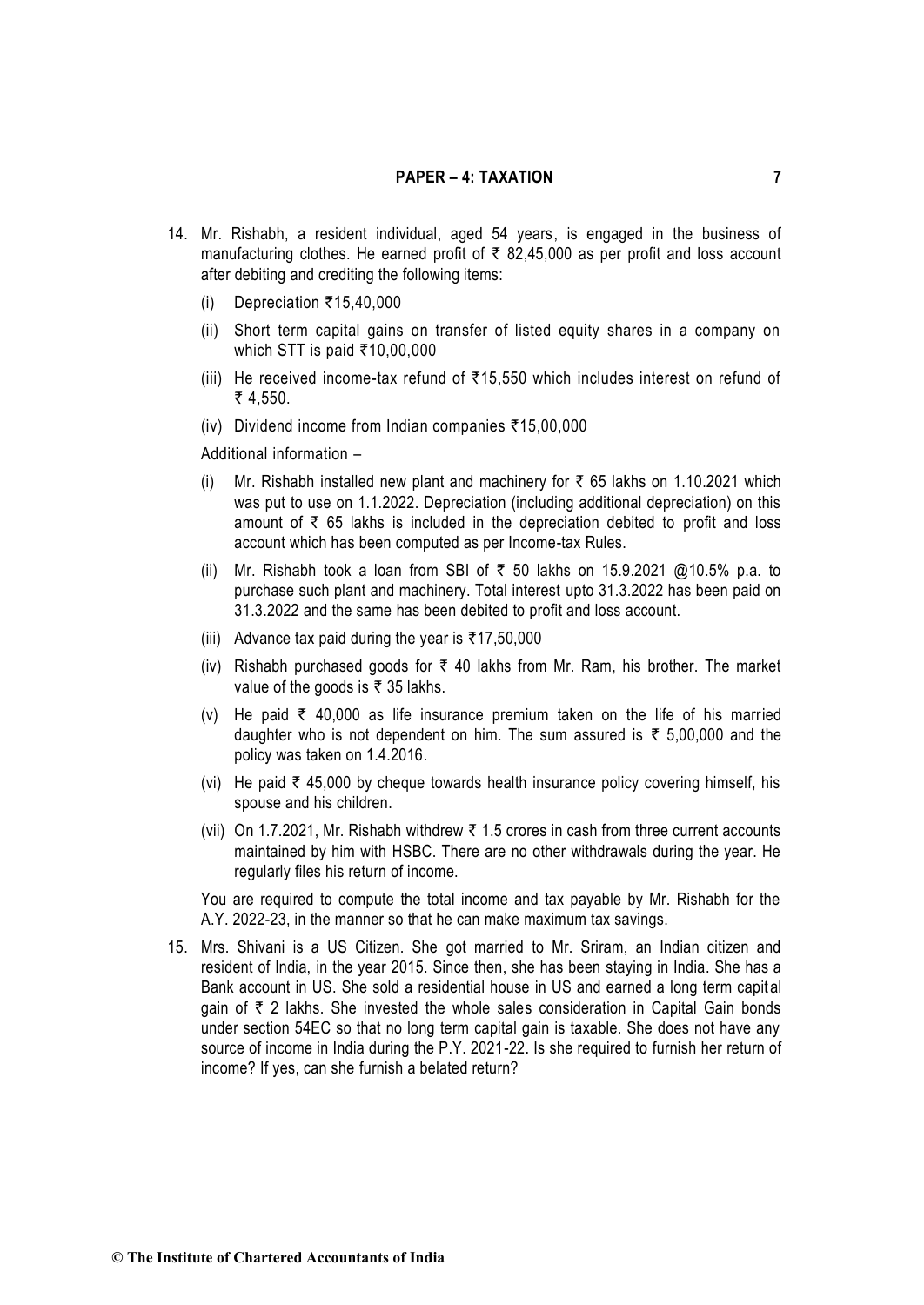- 14. Mr. Rishabh, a resident individual, aged 54 years, is engaged in the business of manufacturing clothes. He earned profit of  $\bar{\tau}$  82,45,000 as per profit and loss account after debiting and crediting the following items:
	- (i) Depreciation  $\overline{\xi}$ 15,40,000
	- (ii) Short term capital gains on transfer of listed equity shares in a company on which STT is paid  $\overline{3}10.00,000$
	- (iii) He received income-tax refund of  $\overline{\xi}$ 15.550 which includes interest on refund of ₹ 4,550.
	- (iv) Dividend income from Indian companies  $\overline{\xi}$ 15,00,000

Additional information –

- (i) Mr. Rishabh installed new plant and machinery for  $\bar{\tau}$  65 lakhs on 1.10.2021 which was put to use on 1.1.2022. Depreciation (including additional depreciation) on this amount of  $\bar{\tau}$  65 lakhs is included in the depreciation debited to profit and loss account which has been computed as per Income-tax Rules.
- (ii) Mr. Rishabh took a loan from SBI of  $\bar{\tau}$  50 lakhs on 15.9.2021 @10.5% p.a. to purchase such plant and machinery. Total interest upto 31.3.2022 has been paid on 31.3.2022 and the same has been debited to profit and loss account.
- (iii) Advance tax paid during the year is  $\overline{\epsilon}$ 17,50,000
- (iv) Rishabh purchased goods for  $\bar{\tau}$  40 lakhs from Mr. Ram, his brother. The market value of the goods is  $\bar{\tau}$  35 lakhs.
- (v) He paid  $\bar{\tau}$  40,000 as life insurance premium taken on the life of his married daughter who is not dependent on him. The sum assured is  $\bar{\tau}$  5,00,000 and the policy was taken on 1.4.2016.
- (vi) He paid  $\bar{\tau}$  45,000 by cheque towards health insurance policy covering himself, his spouse and his children.
- (vii) On 1.7.2021, Mr. Rishabh withdrew  $\bar{\tau}$  1.5 crores in cash from three current accounts maintained by him with HSBC. There are no other withdrawals during the year. He regularly files his return of income.

You are required to compute the total income and tax payable by Mr. Rishabh for the A.Y. 2022-23, in the manner so that he can make maximum tax savings.

15. Mrs. Shivani is a US Citizen. She got married to Mr. Sriram, an Indian citizen and resident of India, in the year 2015. Since then, she has been staying in India. She has a Bank account in US. She sold a residential house in US and earned a long term capit al gain of  $\bar{\tau}$  2 lakhs. She invested the whole sales consideration in Capital Gain bonds under section 54EC so that no long term capital gain is taxable. She does not have any source of income in India during the P.Y. 2021-22. Is she required to furnish her return of income? If yes, can she furnish a belated return?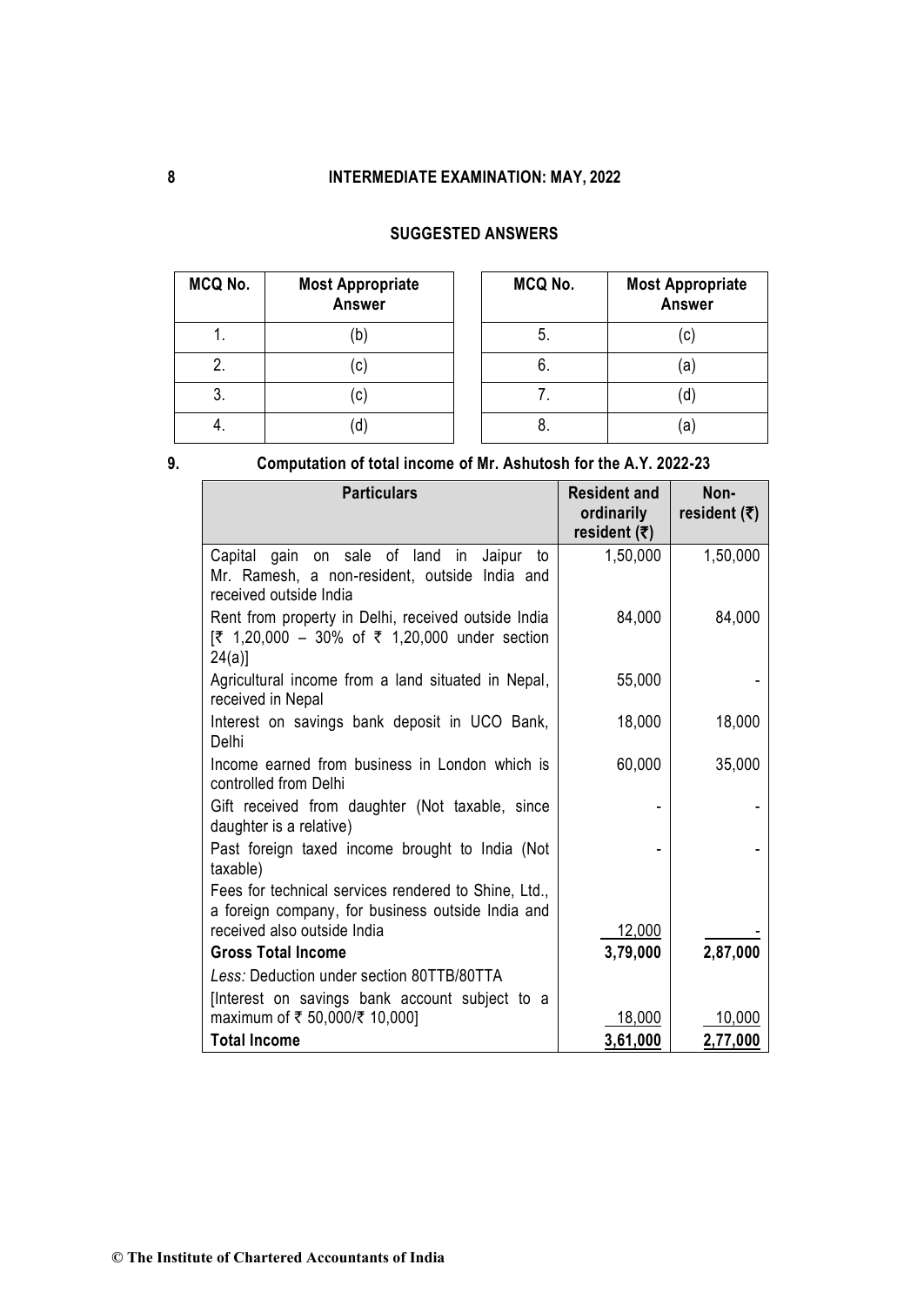# **SUGGESTED ANSWERS**

| MCQ No. | <b>Most Appropriate</b><br>Answer | MCQ No. | <b>Most Appropriate</b><br><b>Answer</b> |
|---------|-----------------------------------|---------|------------------------------------------|
|         |                                   | b.      | $\left( $                                |
| 2.      | (c)                               | ხ.      | (a                                       |
| 3.      | (C)                               |         | 0]                                       |
| 4.      | d                                 | Ο.      | a)                                       |

| ×<br>٦<br>×<br>۰. |  |
|-------------------|--|

# **9. Computation of total income of Mr. Ashutosh for the A.Y. 2022-23**

| <b>Particulars</b>                                                                                                         | <b>Resident and</b><br>ordinarily<br>resident $(\overline{\tau})$ | Non-<br>resident $(\overline{\tau})$ |
|----------------------------------------------------------------------------------------------------------------------------|-------------------------------------------------------------------|--------------------------------------|
| Capital gain on sale of land in<br>Jaipur<br>to<br>Mr. Ramesh, a non-resident, outside India and<br>received outside India | 1,50,000                                                          | 1,50,000                             |
| Rent from property in Delhi, received outside India<br>[₹ 1,20,000 – 30% of ₹ 1,20,000 under section<br>$24(a)$ ]          | 84,000                                                            | 84,000                               |
| Agricultural income from a land situated in Nepal,<br>received in Nepal                                                    | 55,000                                                            |                                      |
| Interest on savings bank deposit in UCO Bank,<br>Delhi                                                                     | 18,000                                                            | 18,000                               |
| Income earned from business in London which is<br>controlled from Delhi                                                    | 60,000                                                            | 35,000                               |
| Gift received from daughter (Not taxable, since<br>daughter is a relative)                                                 |                                                                   |                                      |
| Past foreign taxed income brought to India (Not<br>taxable)                                                                |                                                                   |                                      |
| Fees for technical services rendered to Shine, Ltd.,<br>a foreign company, for business outside India and                  |                                                                   |                                      |
| received also outside India                                                                                                | 12,000                                                            |                                      |
| <b>Gross Total Income</b>                                                                                                  | 3,79,000                                                          | 2,87,000                             |
| Less: Deduction under section 80TTB/80TTA                                                                                  |                                                                   |                                      |
| [Interest on savings bank account subject to a<br>maximum of ₹ 50,000/₹ 10,000]                                            | 18,000                                                            | 10,000                               |
| <b>Total Income</b>                                                                                                        | 3,61,000                                                          | 2,77,000                             |

**© The Institute of Chartered Accountants of India**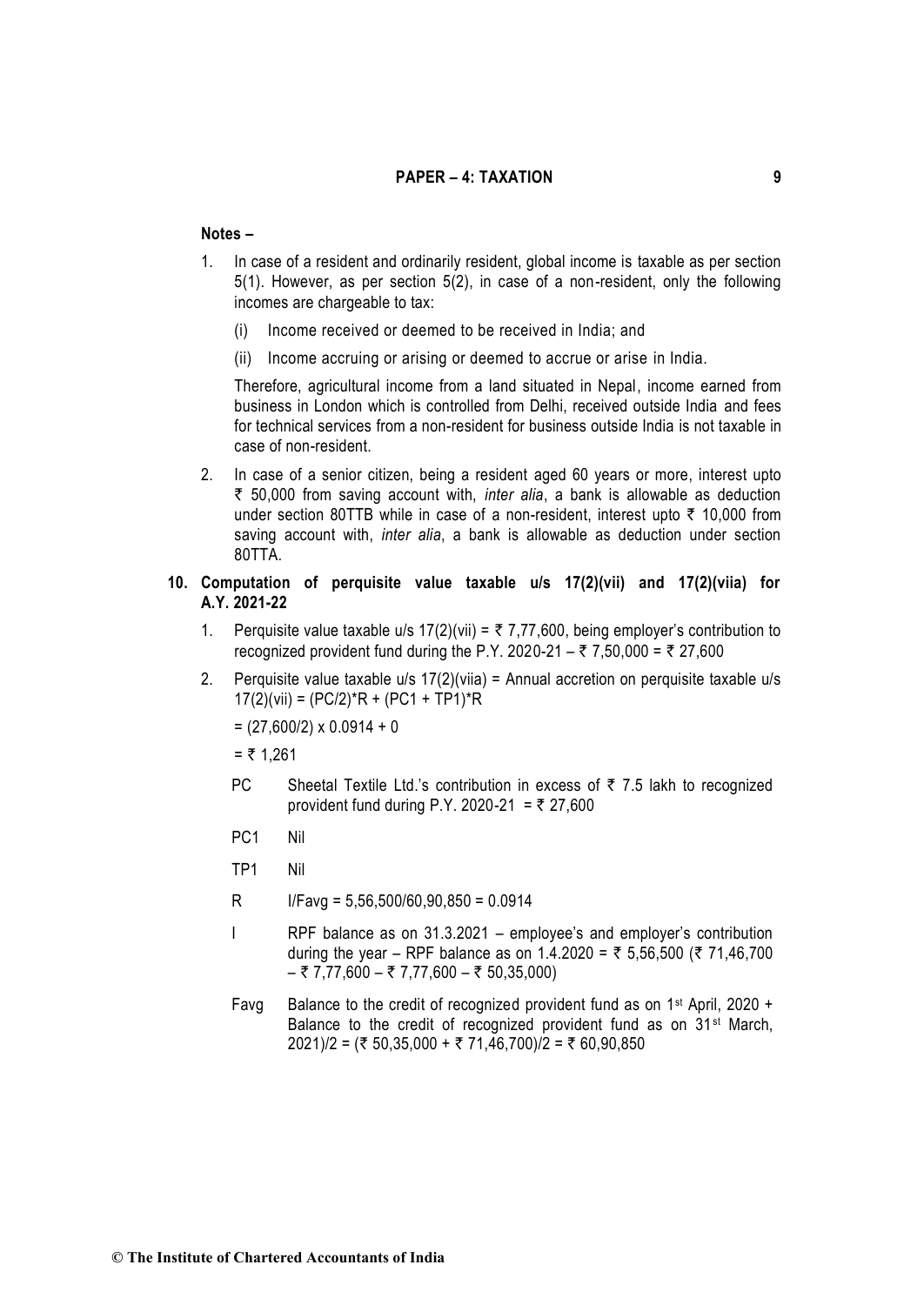#### **Notes –**

- 1. In case of a resident and ordinarily resident, global income is taxable as per section 5(1). However, as per section 5(2), in case of a non-resident, only the following incomes are chargeable to tax:
	- (i) Income received or deemed to be received in India; and
	- (ii) Income accruing or arising or deemed to accrue or arise in India.

Therefore, agricultural income from a land situated in Nepal, income earned from business in London which is controlled from Delhi, received outside India and fees for technical services from a non-resident for business outside India is not taxable in case of non-resident.

2. In case of a senior citizen, being a resident aged 60 years or more, interest upto ` 50,000 from saving account with, *inter alia*, a bank is allowable as deduction under section 80TTB while in case of a non-resident, interest upto  $\bar{\tau}$  10,000 from saving account with, *inter alia*, a bank is allowable as deduction under section 80TTA.

# **10. Computation of perquisite value taxable u/s 17(2)(vii) and 17(2)(viia) for A.Y. 2021-22**

- 1. Perquisite value taxable u/s  $17(2)$ (vii) =  $\overline{z}$  7,77,600, being employer's contribution to recognized provident fund during the P.Y. 2020-21 – ₹ 7,50,000 = ₹ 27,600
- 2. Perquisite value taxable u/s 17(2)(viia) = Annual accretion on perquisite taxable u/s  $17(2)$ (vii) = (PC/2)\*R + (PC1 + TP1)\*R

 $= (27,600/2) \times 0.0914 + 0$ 

 $= 71,261$ 

- PC Sheetal Textile Ltd.'s contribution in excess of  $\bar{\tau}$  7.5 lakh to recognized provident fund during P.Y. 2020-21 = ₹ 27,600
- PC1 Nil
- TP1 Nil
- R I/Favg = 5,56,500/60,90,850 = 0.0914
- I RPF balance as on 31.3.2021 employee's and employer's contribution during the year – RPF balance as on 1.4.2020 = ₹ 5,56,500 (₹ 71,46,700  $-$  ₹ 7,77,600  $-$  ₹ 7,77,600  $-$  ₹ 50,35,000)
- Favg Balance to the credit of recognized provident fund as on  $1<sup>st</sup>$  April, 2020 + Balance to the credit of recognized provident fund as on 31st March,  $2021$ )/2 = (₹ 50,35,000 + ₹ 71,46,700)/2 = ₹ 60,90,850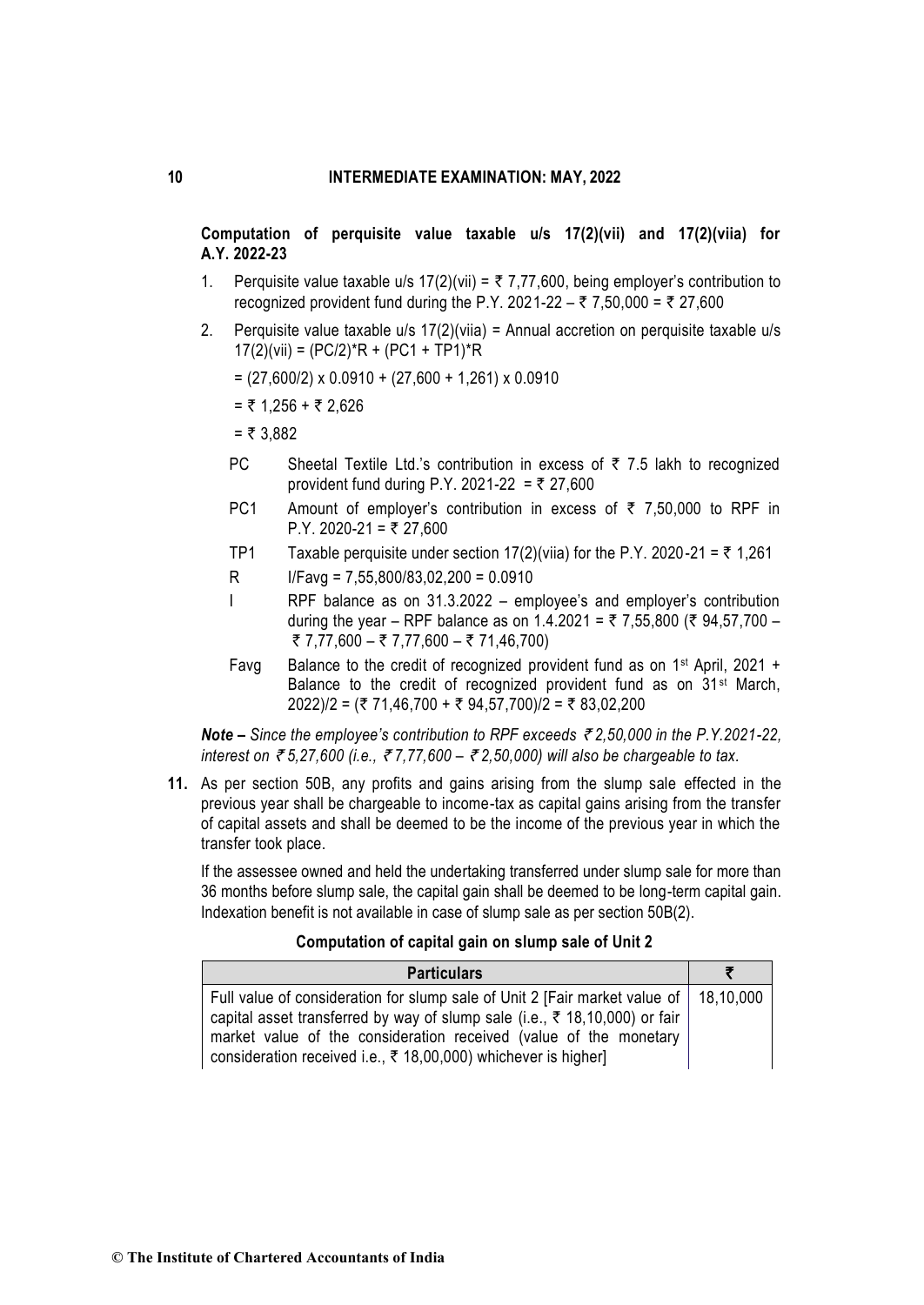**Computation of perquisite value taxable u/s 17(2)(vii) and 17(2)(viia) for A.Y. 2022-23** 

- 1. Perquisite value taxable u/s  $17(2)$ (vii) =  $\overline{z}$  7,77,600, being employer's contribution to recognized provident fund during the P.Y. 2021-22 – ₹ 7,50,000 = ₹ 27,600
- 2. Perquisite value taxable  $u/s$  17(2)(viia) = Annual accretion on perquisite taxable  $u/s$  $17(2)(vii) = (PC/2)*R + (PC1 + TP1)*R$ 
	- $= (27.600/2) \times 0.0910 + (27.600 + 1.261) \times 0.0910$
	- $=$  ₹ 1,256 + ₹ 2,626
	- $= 73.882$
	- PC Sheetal Textile Ltd.'s contribution in excess of  $\bar{\tau}$  7.5 lakh to recognized provident fund during P.Y. 2021-22 = ₹ 27,600
	- PC1 Amount of employer's contribution in excess of  $\bar{\tau}$  7,50,000 to RPF in P.Y. 2020-21 = ₹ 27,600
	- TP1 Taxable perquisite under section 17(2)(viia) for the P.Y. 2020-21 =  $\overline{z}$  1,261
	- R I/Favg = 7,55,800/83,02,200 = 0.0910
	- I RPF balance as on 31.3.2022 employee's and employer's contribution during the year – RPF balance as on 1.4.2021 = ₹ 7,55,800 (₹ 94,57,700 – ₹ 7,77,600 – ₹ 7,77,600 – ₹ 71,46,700)
	- Favg Balance to the credit of recognized provident fund as on 1<sup>st</sup> April, 2021 + Balance to the credit of recognized provident fund as on 31st March,  $2022$ )/2 = (₹ 71,46,700 + ₹ 94,57,700)/2 = ₹ 83,02,200

*Note – Since the employee's contribution to RPF exceeds* ` *2,50,000 in the P.Y.2021-22, interest on* ` *5,27,600 (i.e.,* ` *7,77,600 –* ` *2,50,000) will also be chargeable to tax.* 

**11.** As per section 50B, any profits and gains arising from the slump sale effected in the previous year shall be chargeable to income-tax as capital gains arising from the transfer of capital assets and shall be deemed to be the income of the previous year in which the transfer took place.

If the assessee owned and held the undertaking transferred under slump sale for more than 36 months before slump sale, the capital gain shall be deemed to be long-term capital gain. Indexation benefit is not available in case of slump sale as per section 50B(2).

## **Computation of capital gain on slump sale of Unit 2**

| <b>Particulars</b>                                                                                                                                                                                                                                                                                                    |  |
|-----------------------------------------------------------------------------------------------------------------------------------------------------------------------------------------------------------------------------------------------------------------------------------------------------------------------|--|
| Full value of consideration for slump sale of Unit 2 [Fair market value of   18,10,000<br>capital asset transferred by way of slump sale (i.e., ₹ 18,10,000) or fair<br>market value of the consideration received (value of the monetary<br>consideration received i.e., $\bar{\tau}$ 18,00,000) whichever is higher |  |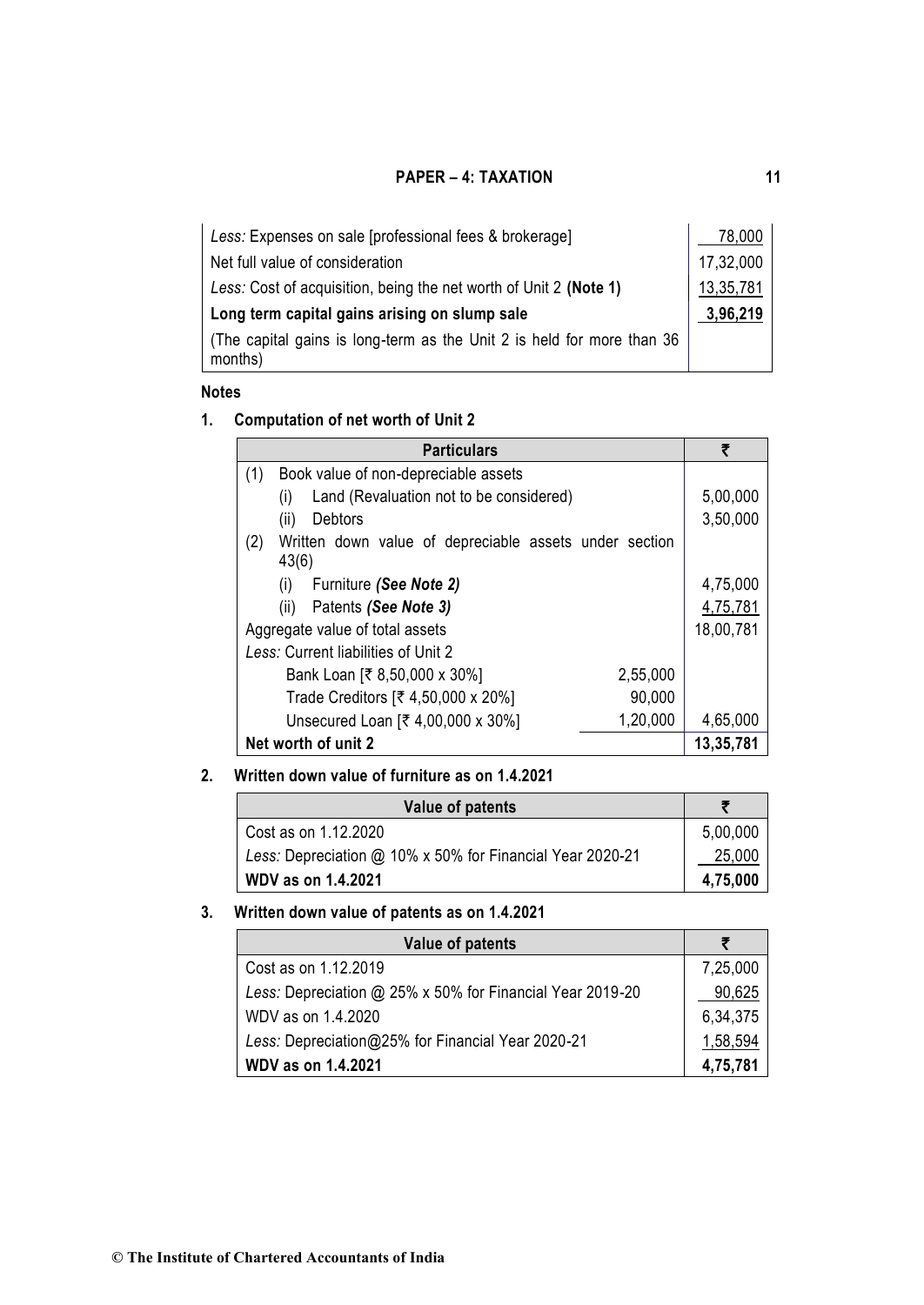| Less: Expenses on sale [professional fees & brokerage]                            | 78,000    |
|-----------------------------------------------------------------------------------|-----------|
| Net full value of consideration                                                   | 17,32,000 |
| Less: Cost of acquisition, being the net worth of Unit 2 (Note 1)                 | 13,35,781 |
| Long term capital gains arising on slump sale                                     |           |
| (The capital gains is long-term as the Unit 2 is held for more than 36<br>months) |           |

# **Notes**

# **1. Computation of net worth of Unit 2**

| <b>Particulars</b>                                                     | ₹         |
|------------------------------------------------------------------------|-----------|
| Book value of non-depreciable assets<br>(1)                            |           |
| Land (Revaluation not to be considered)<br>(i)                         | 5,00,000  |
| Debtors<br>(ii)                                                        | 3,50,000  |
| (2)<br>Written down value of depreciable assets under section<br>43(6) |           |
| (i)<br>Furniture (See Note 2)                                          | 4,75,000  |
| (ii)<br>Patents (See Note 3)                                           | 4,75,781  |
| Aggregate value of total assets                                        | 18,00,781 |
| Less: Current liabilities of Unit 2                                    |           |
| 2,55,000<br>Bank Loan [₹ 8,50,000 x 30%]                               |           |
| 90,000<br>Trade Creditors [₹ 4,50,000 x 20%]                           |           |
| 1,20,000<br>Unsecured Loan [₹ 4,00,000 x 30%]                          | 4,65,000  |
| Net worth of unit 2                                                    | 13,35,781 |

# **2. Written down value of furniture as on 1.4.2021**

| Value of patents                                          |          |
|-----------------------------------------------------------|----------|
| Cost as on 1.12.2020                                      | 5,00,000 |
| Less: Depreciation @ 10% x 50% for Financial Year 2020-21 | 25,000   |
| <b>WDV as on 1.4.2021</b>                                 | 4,75,000 |

# **3. Written down value of patents as on 1.4.2021**

| Value of patents                                          |          |
|-----------------------------------------------------------|----------|
| Cost as on 1.12.2019                                      | 7,25,000 |
| Less: Depreciation @ 25% x 50% for Financial Year 2019-20 | 90,625   |
| WDV as on 1.4.2020                                        | 6,34,375 |
| Less: Depreciation@25% for Financial Year 2020-21         | 1,58,594 |
| <b>WDV as on 1.4.2021</b>                                 | 4,75,781 |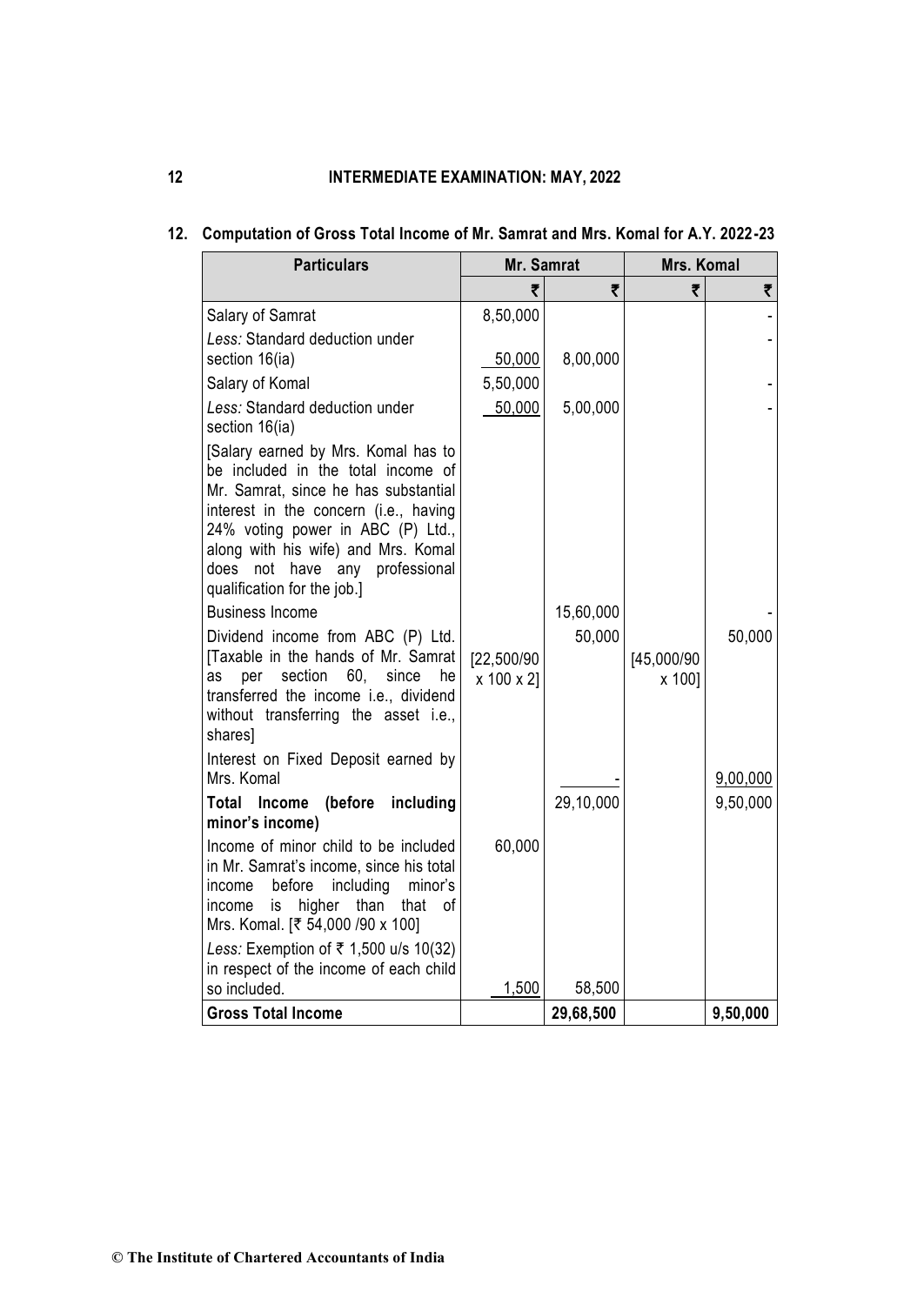| <b>Particulars</b>                                                                                                                                                                                                                                                                                      | Mr. Samrat               |           | Mrs. Komal           |          |
|---------------------------------------------------------------------------------------------------------------------------------------------------------------------------------------------------------------------------------------------------------------------------------------------------------|--------------------------|-----------|----------------------|----------|
|                                                                                                                                                                                                                                                                                                         | ₹                        | ₹         | ₹                    | ₹        |
| Salary of Samrat                                                                                                                                                                                                                                                                                        | 8,50,000                 |           |                      |          |
| Less: Standard deduction under<br>section 16(ia)                                                                                                                                                                                                                                                        | 50,000                   | 8,00,000  |                      |          |
| Salary of Komal                                                                                                                                                                                                                                                                                         | 5,50,000                 |           |                      |          |
| Less: Standard deduction under<br>section 16(ia)                                                                                                                                                                                                                                                        | 50,000                   | 5,00,000  |                      |          |
| [Salary earned by Mrs. Komal has to<br>be included in the total income of<br>Mr. Samrat, since he has substantial<br>interest in the concern (i.e., having<br>24% voting power in ABC (P) Ltd.,<br>along with his wife) and Mrs. Komal<br>does not have any professional<br>qualification for the job.] |                          |           |                      |          |
| <b>Business Income</b>                                                                                                                                                                                                                                                                                  |                          | 15,60,000 |                      |          |
| Dividend income from ABC (P) Ltd.<br>[Taxable in the hands of Mr. Samrat]<br>per<br>section<br>60, since<br>as<br>he<br>transferred the income i.e., dividend<br>without transferring the asset i.e.,<br>shares]                                                                                        | [22,500/90<br>x 100 x 2] | 50,000    | [45,000/90<br>x 100] | 50,000   |
| Interest on Fixed Deposit earned by<br>Mrs. Komal                                                                                                                                                                                                                                                       |                          |           |                      | 9,00,000 |
| (before<br>including<br>Total<br>Income<br>minor's income)                                                                                                                                                                                                                                              |                          | 29,10,000 |                      | 9,50,000 |
| Income of minor child to be included<br>in Mr. Samrat's income, since his total<br>including<br>before<br>minor's<br>income<br>higher than<br>that<br>of<br>income<br>is<br>Mrs. Komal. [₹ 54,000 /90 x 100]                                                                                            | 60,000                   |           |                      |          |
| Less: Exemption of $\overline{\tau}$ 1,500 u/s 10(32)<br>in respect of the income of each child<br>so included.                                                                                                                                                                                         | 1,500                    | 58,500    |                      |          |
| <b>Gross Total Income</b>                                                                                                                                                                                                                                                                               |                          | 29,68,500 |                      | 9,50,000 |

# **12. Computation of Gross Total Income of Mr. Samrat and Mrs. Komal for A.Y. 2022-23**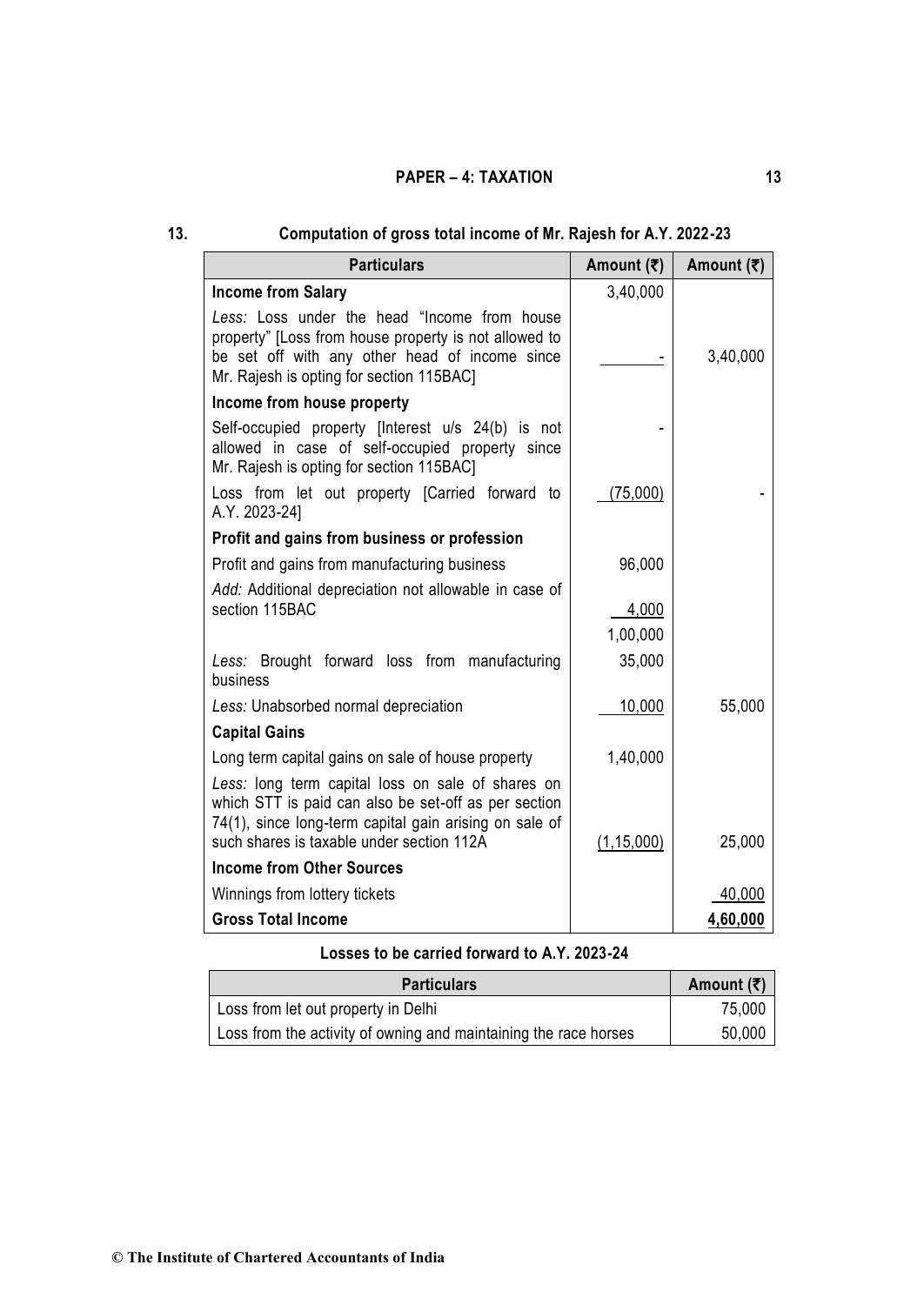| 13. | Computation of gross total income of Mr. Rajesh for A.Y. 2022-23                                                                                                                                                 |                            |                            |
|-----|------------------------------------------------------------------------------------------------------------------------------------------------------------------------------------------------------------------|----------------------------|----------------------------|
|     | <b>Particulars</b>                                                                                                                                                                                               | Amount $(\overline{\tau})$ | Amount $(\overline{\tau})$ |
|     | <b>Income from Salary</b>                                                                                                                                                                                        | 3,40,000                   |                            |
|     | Less: Loss under the head "Income from house<br>property" [Loss from house property is not allowed to<br>be set off with any other head of income since<br>Mr. Rajesh is opting for section 115BAC]              |                            | 3,40,000                   |
|     | Income from house property                                                                                                                                                                                       |                            |                            |
|     | Self-occupied property [Interest u/s 24(b) is not<br>allowed in case of self-occupied property since<br>Mr. Rajesh is opting for section 115BAC]                                                                 |                            |                            |
|     | Loss from let out property [Carried forward to<br>A.Y. 2023-24]                                                                                                                                                  | (75,000)                   |                            |
|     | Profit and gains from business or profession                                                                                                                                                                     |                            |                            |
|     | Profit and gains from manufacturing business                                                                                                                                                                     | 96,000                     |                            |
|     | Add: Additional depreciation not allowable in case of<br>section 115BAC                                                                                                                                          | 4,000                      |                            |
|     |                                                                                                                                                                                                                  | 1,00,000                   |                            |
|     | Less: Brought forward loss from manufacturing<br>business                                                                                                                                                        | 35,000                     |                            |
|     | Less: Unabsorbed normal depreciation                                                                                                                                                                             | 10,000                     | 55,000                     |
|     | <b>Capital Gains</b>                                                                                                                                                                                             |                            |                            |
|     | Long term capital gains on sale of house property                                                                                                                                                                | 1,40,000                   |                            |
|     | Less: long term capital loss on sale of shares on<br>which STT is paid can also be set-off as per section<br>74(1), since long-term capital gain arising on sale of<br>such shares is taxable under section 112A | (1, 15, 000)               | 25,000                     |
|     | <b>Income from Other Sources</b>                                                                                                                                                                                 |                            |                            |
|     | Winnings from lottery tickets                                                                                                                                                                                    |                            | 40,000                     |
|     | <b>Gross Total Income</b>                                                                                                                                                                                        |                            | 4,60,000                   |

# **Losses to be carried forward to A.Y. 2023-24**

| <b>Particulars</b>                                               | Amount $(\bar{\bar{\mathbf{x}}})$ |
|------------------------------------------------------------------|-----------------------------------|
| Loss from let out property in Delhi                              | 75,000                            |
| Loss from the activity of owning and maintaining the race horses | 50,000                            |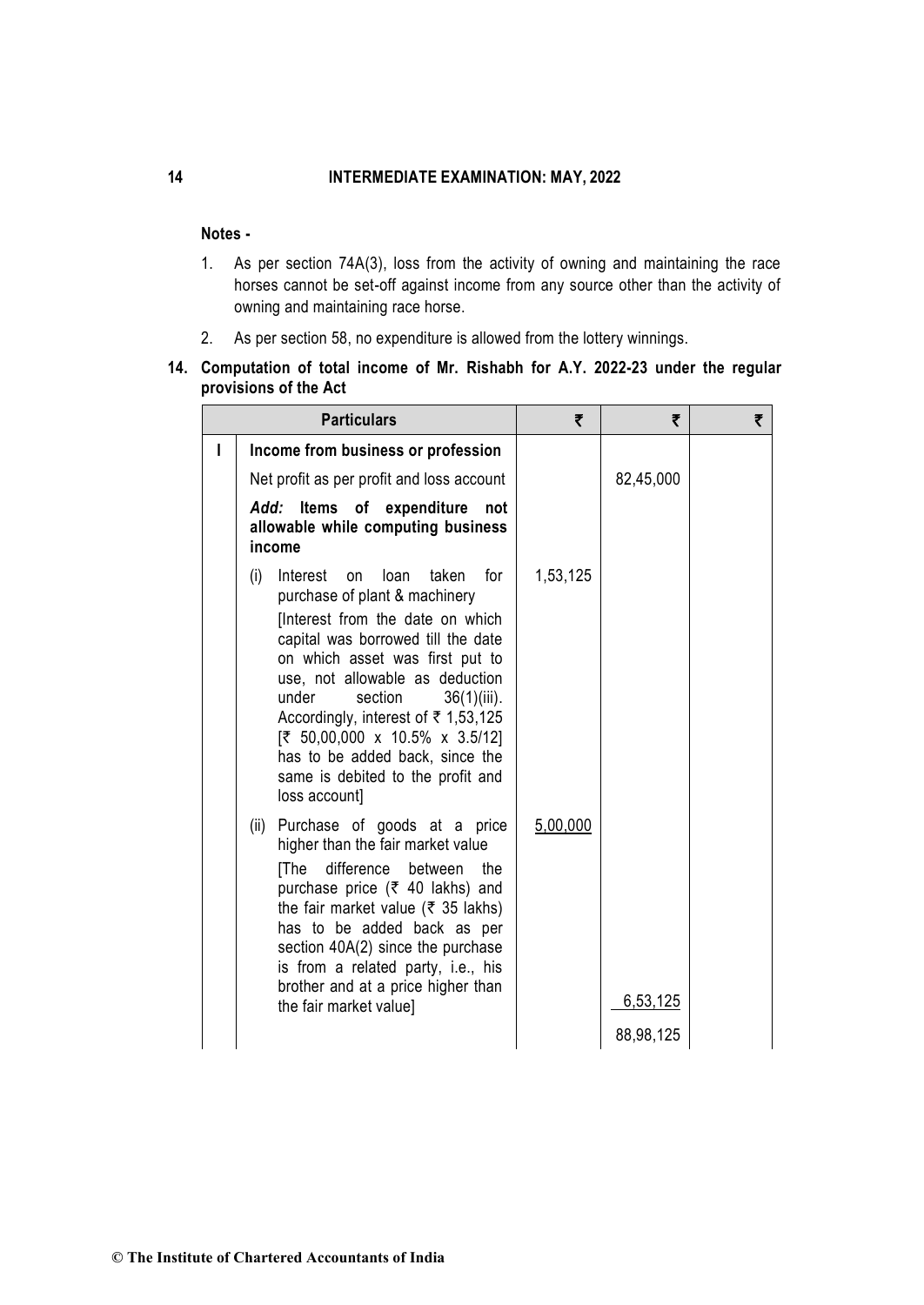# **Notes -**

- 1. As per section 74A(3), loss from the activity of owning and maintaining the race horses cannot be set-off against income from any source other than the activity of owning and maintaining race horse.
- 2. As per section 58, no expenditure is allowed from the lottery winnings.

# **14. Computation of total income of Mr. Rishabh for A.Y. 2022-23 under the regular provisions of the Act**

| <b>Particulars</b>                                                                                                                                                                                                                                                                                                                                                                                                                     | ₹        | ₹                     | ₹ |
|----------------------------------------------------------------------------------------------------------------------------------------------------------------------------------------------------------------------------------------------------------------------------------------------------------------------------------------------------------------------------------------------------------------------------------------|----------|-----------------------|---|
| Income from business or profession                                                                                                                                                                                                                                                                                                                                                                                                     |          |                       |   |
| Net profit as per profit and loss account                                                                                                                                                                                                                                                                                                                                                                                              |          | 82,45,000             |   |
| Items of expenditure<br>Add:<br>not<br>allowable while computing business<br>income                                                                                                                                                                                                                                                                                                                                                    |          |                       |   |
| (i)<br>for<br>Interest<br>loan<br>taken<br>on<br>purchase of plant & machinery<br>[Interest from the date on which<br>capital was borrowed till the date<br>on which asset was first put to<br>use, not allowable as deduction<br>under<br>section<br>$36(1)(iii)$ .<br>Accordingly, interest of ₹ 1,53,125<br>[₹ 50,00,000 x 10.5% x 3.5/12]<br>has to be added back, since the<br>same is debited to the profit and<br>loss account] | 1,53,125 |                       |   |
| Purchase of goods at a price<br>(ii)<br>higher than the fair market value<br>difference<br>between<br>[The<br>the<br>purchase price (₹ 40 lakhs) and<br>the fair market value ( $\overline{\xi}$ 35 lakhs)<br>has to be added back as per<br>section 40A(2) since the purchase<br>is from a related party, i.e., his<br>brother and at a price higher than<br>the fair market value]                                                   | 5,00,000 | 6,53,125<br>88,98,125 |   |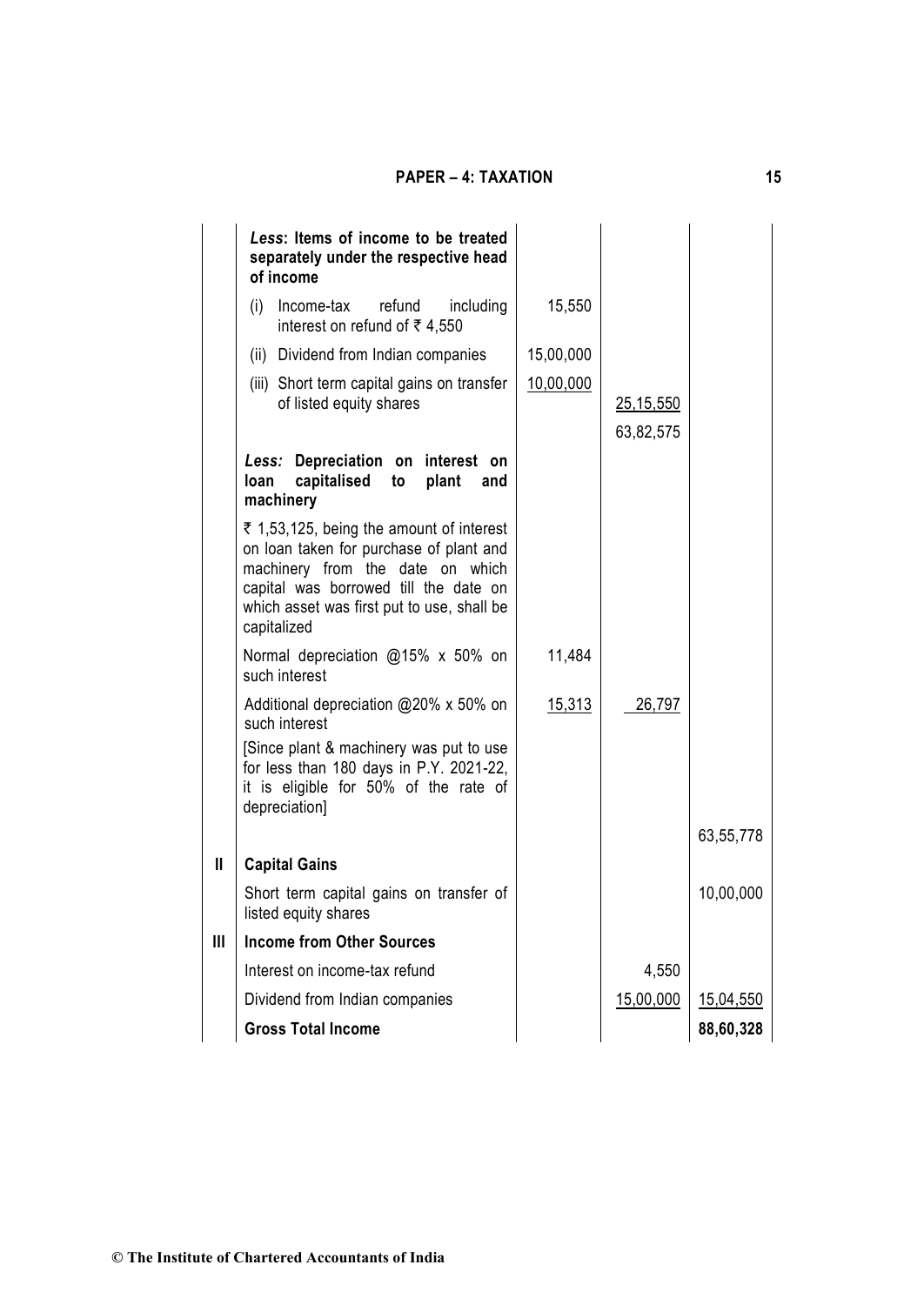|   | Less: Items of income to be treated<br>separately under the respective head<br>of income                                                                                                                                      |               |                          |           |  |
|---|-------------------------------------------------------------------------------------------------------------------------------------------------------------------------------------------------------------------------------|---------------|--------------------------|-----------|--|
|   | refund<br>(i)<br>Income-tax<br>including<br>interest on refund of ₹4,550                                                                                                                                                      | 15,550        |                          |           |  |
|   | (ii) Dividend from Indian companies                                                                                                                                                                                           | 15,00,000     |                          |           |  |
|   | (iii) Short term capital gains on transfer<br>of listed equity shares                                                                                                                                                         | 10,00,000     | 25, 15, 550<br>63,82,575 |           |  |
|   | Less: Depreciation on interest on<br>capitalised<br>plant<br>loan<br>to<br>and<br>machinery                                                                                                                                   |               |                          |           |  |
|   | ₹ 1,53,125, being the amount of interest<br>on loan taken for purchase of plant and<br>machinery from the date on which<br>capital was borrowed till the date on<br>which asset was first put to use, shall be<br>capitalized |               |                          |           |  |
|   | Normal depreciation @15% x 50% on<br>such interest                                                                                                                                                                            | 11,484        |                          |           |  |
|   | Additional depreciation @20% x 50% on<br>such interest                                                                                                                                                                        | <u>15,313</u> | 26,797                   |           |  |
|   | [Since plant & machinery was put to use<br>for less than 180 days in P.Y. 2021-22,<br>it is eligible for 50% of the rate of<br>depreciation]                                                                                  |               |                          |           |  |
|   |                                                                                                                                                                                                                               |               |                          | 63,55,778 |  |
| Ш | <b>Capital Gains</b>                                                                                                                                                                                                          |               |                          |           |  |
|   | Short term capital gains on transfer of<br>listed equity shares                                                                                                                                                               |               |                          | 10,00,000 |  |
| Ш | <b>Income from Other Sources</b>                                                                                                                                                                                              |               |                          |           |  |
|   | Interest on income-tax refund                                                                                                                                                                                                 |               | 4,550                    |           |  |
|   | Dividend from Indian companies                                                                                                                                                                                                |               | 15,00,000                | 15,04,550 |  |
|   | <b>Gross Total Income</b>                                                                                                                                                                                                     |               |                          | 88,60,328 |  |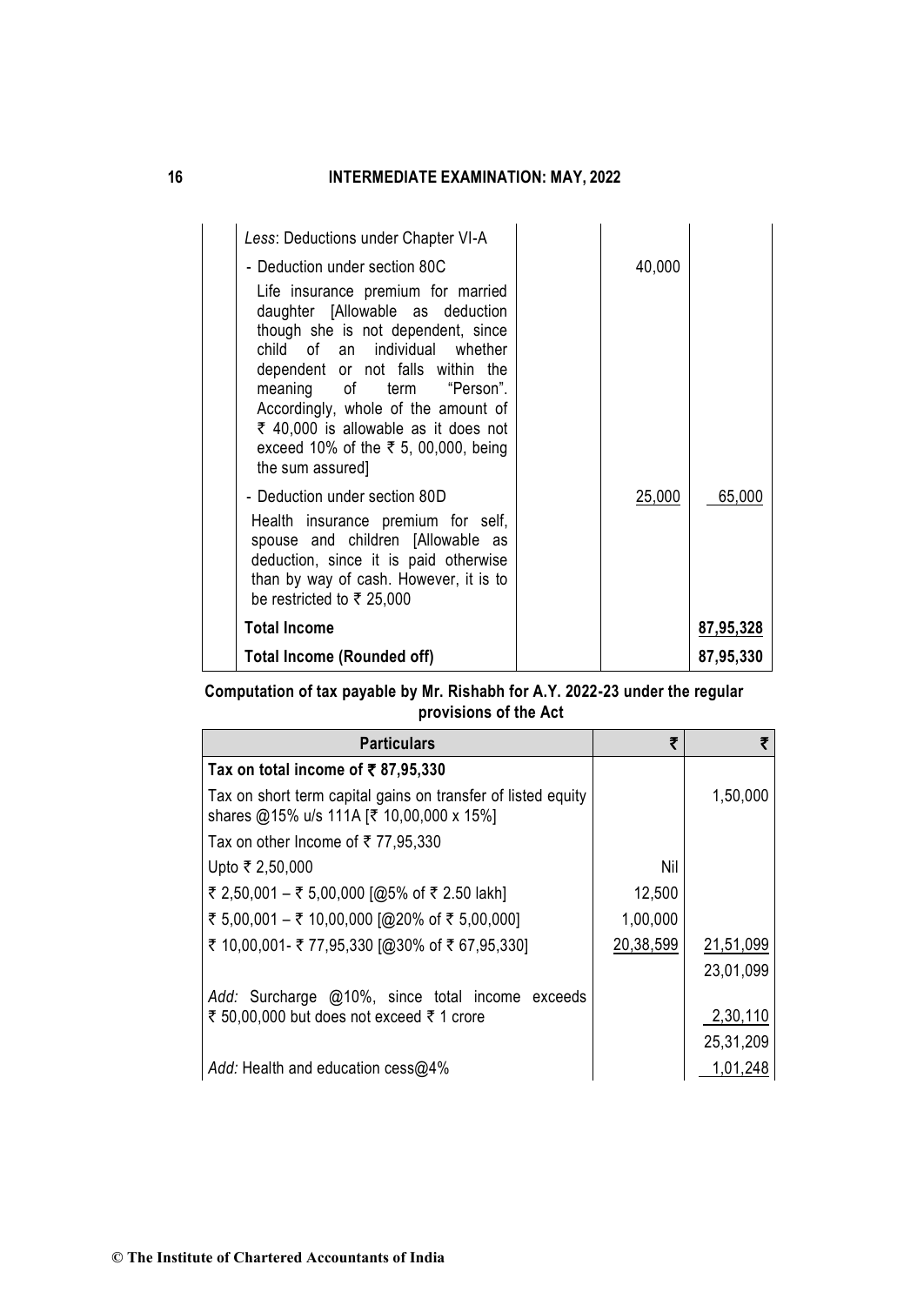| Less: Deductions under Chapter VI-A<br>- Deduction under section 80C<br>Life insurance premium for married<br>daughter [Allowable as deduction<br>though she is not dependent, since<br>child of an individual whether<br>dependent or not falls within the<br>meaning of term "Person".<br>Accordingly, whole of the amount of<br>₹ 40,000 is allowable as it does not<br>exceed 10% of the ₹ 5, 00,000, being<br>the sum assured]<br>- Deduction under section 80D<br>Health insurance premium for self,<br>spouse and children [Allowable as<br>deduction, since it is paid otherwise<br>than by way of cash. However, it is to<br>be restricted to $\bar{\tau}$ 25,000 | 40,000<br>25,000 | 65,000    |
|----------------------------------------------------------------------------------------------------------------------------------------------------------------------------------------------------------------------------------------------------------------------------------------------------------------------------------------------------------------------------------------------------------------------------------------------------------------------------------------------------------------------------------------------------------------------------------------------------------------------------------------------------------------------------|------------------|-----------|
| <b>Total Income</b>                                                                                                                                                                                                                                                                                                                                                                                                                                                                                                                                                                                                                                                        |                  | 87,95,328 |
| Total Income (Rounded off)                                                                                                                                                                                                                                                                                                                                                                                                                                                                                                                                                                                                                                                 |                  | 87,95,330 |

# **Computation of tax payable by Mr. Rishabh for A.Y. 2022-23 under the regular provisions of the Act**

| <b>Particulars</b>                                                                                       | 罗         |           |
|----------------------------------------------------------------------------------------------------------|-----------|-----------|
| Tax on total income of $\overline{5}$ 87,95,330                                                          |           |           |
| Tax on short term capital gains on transfer of listed equity<br>shares @15% u/s 111A [₹ 10,00,000 x 15%] |           | 1,50,000  |
| Tax on other Income of ₹77,95,330                                                                        |           |           |
| Upto ₹ 2,50,000                                                                                          | Nil       |           |
| ₹ 2,50,001 – ₹ 5,00,000 [@5% of ₹ 2.50 lakh]                                                             | 12,500    |           |
| ₹ 5,00,001 – ₹ 10,00,000 [@20% of ₹ 5,00,000]                                                            | 1,00,000  |           |
| ₹ 10,00,001 - ₹ 77,95,330 [@30% of ₹ 67,95,330]                                                          | 20,38,599 | 21,51,099 |
|                                                                                                          |           | 23,01,099 |
| Add: Surcharge @10%, since total income exceeds                                                          |           |           |
| ₹ 50,00,000 but does not exceed ₹ 1 crore                                                                |           | 2,30,110  |
|                                                                                                          |           | 25,31,209 |
| Add: Health and education cess@4%                                                                        |           | 1,01,248  |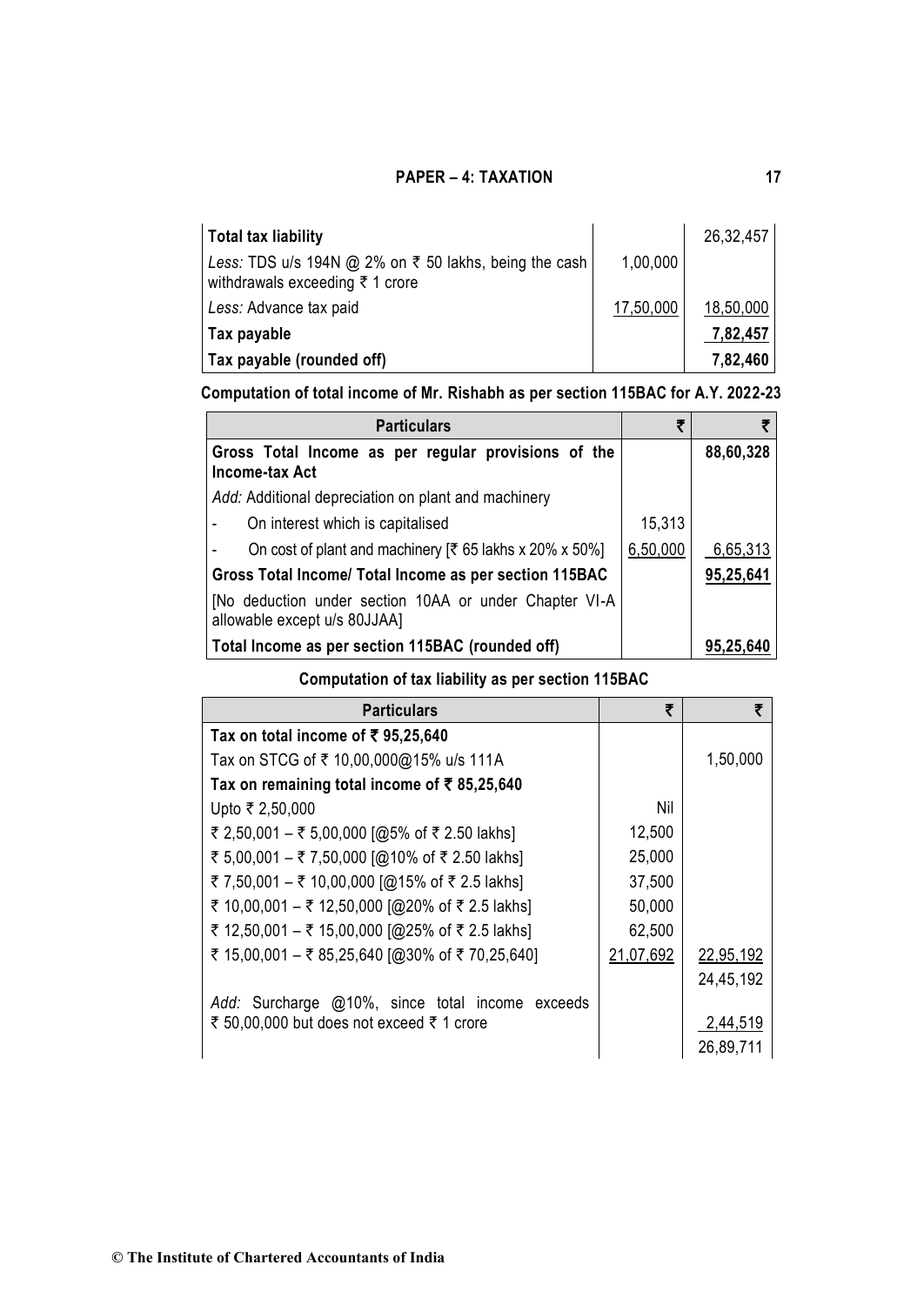| <b>Total tax liability</b>                                                                                     |           | 26,32,457 |
|----------------------------------------------------------------------------------------------------------------|-----------|-----------|
| Less: TDS u/s 194N @ 2% on $\bar{\tau}$ 50 lakhs, being the cash<br>withdrawals exceeding $\bar{\tau}$ 1 crore | 1,00,000  |           |
| Less: Advance tax paid                                                                                         | 17,50,000 | 18,50,000 |
| Tax payable                                                                                                    |           | 7,82,457  |
| Tax payable (rounded off)                                                                                      |           | 7,82,460  |

# **Computation of total income of Mr. Rishabh as per section 115BAC for A.Y. 2022-23**

| <b>Particulars</b>                                                                     | ₹        |           |
|----------------------------------------------------------------------------------------|----------|-----------|
| Gross Total Income as per regular provisions of the<br>Income-tax Act                  |          | 88,60,328 |
| Add: Additional depreciation on plant and machinery                                    |          |           |
| On interest which is capitalised                                                       | 15,313   |           |
| On cost of plant and machinery $\lbrack \bar{\xi} \rbrack$ 65 lakhs x 20% x 50%]       | 6,50,000 | 6,65,313  |
| Gross Total Income/ Total Income as per section 115BAC                                 |          | 95,25,641 |
| [No deduction under section 10AA or under Chapter VI-A<br>allowable except u/s 80JJAA] |          |           |
| Total Income as per section 115BAC (rounded off)                                       |          | 95,25,640 |

# **Computation of tax liability as per section 115BAC**

| <b>Particulars</b>                              | ₹         | ₹         |
|-------------------------------------------------|-----------|-----------|
| Tax on total income of ₹ 95,25,640              |           |           |
| Tax on STCG of ₹ 10,00,000@15% u/s 111A         |           | 1,50,000  |
| Tax on remaining total income of ₹85,25,640     |           |           |
| Upto ₹ 2,50,000                                 | Nil       |           |
| ₹ 2,50,001 – ₹ 5,00,000 [@5% of ₹ 2.50 lakhs]   | 12,500    |           |
| ₹ 5,00,001 – ₹ 7,50,000 [@10% of ₹ 2.50 lakhs]  | 25,000    |           |
| ₹ 7,50,001 - ₹ 10,00,000 [@15% of ₹ 2.5 lakhs]  | 37,500    |           |
| ₹ 10,00,001 - ₹ 12,50,000 [@20% of ₹ 2.5 lakhs] | 50,000    |           |
| ₹ 12,50,001 - ₹ 15,00,000 [@25% of ₹ 2.5 lakhs] | 62,500    |           |
| ₹ 15,00,001 - ₹ 85,25,640 [@30% of ₹ 70,25,640] | 21,07,692 | 22,95,192 |
|                                                 |           | 24,45,192 |
| Add: Surcharge @10%, since total income exceeds |           |           |
| ₹ 50,00,000 but does not exceed ₹ 1 crore       |           | 2,44,519  |
|                                                 |           | 26,89,711 |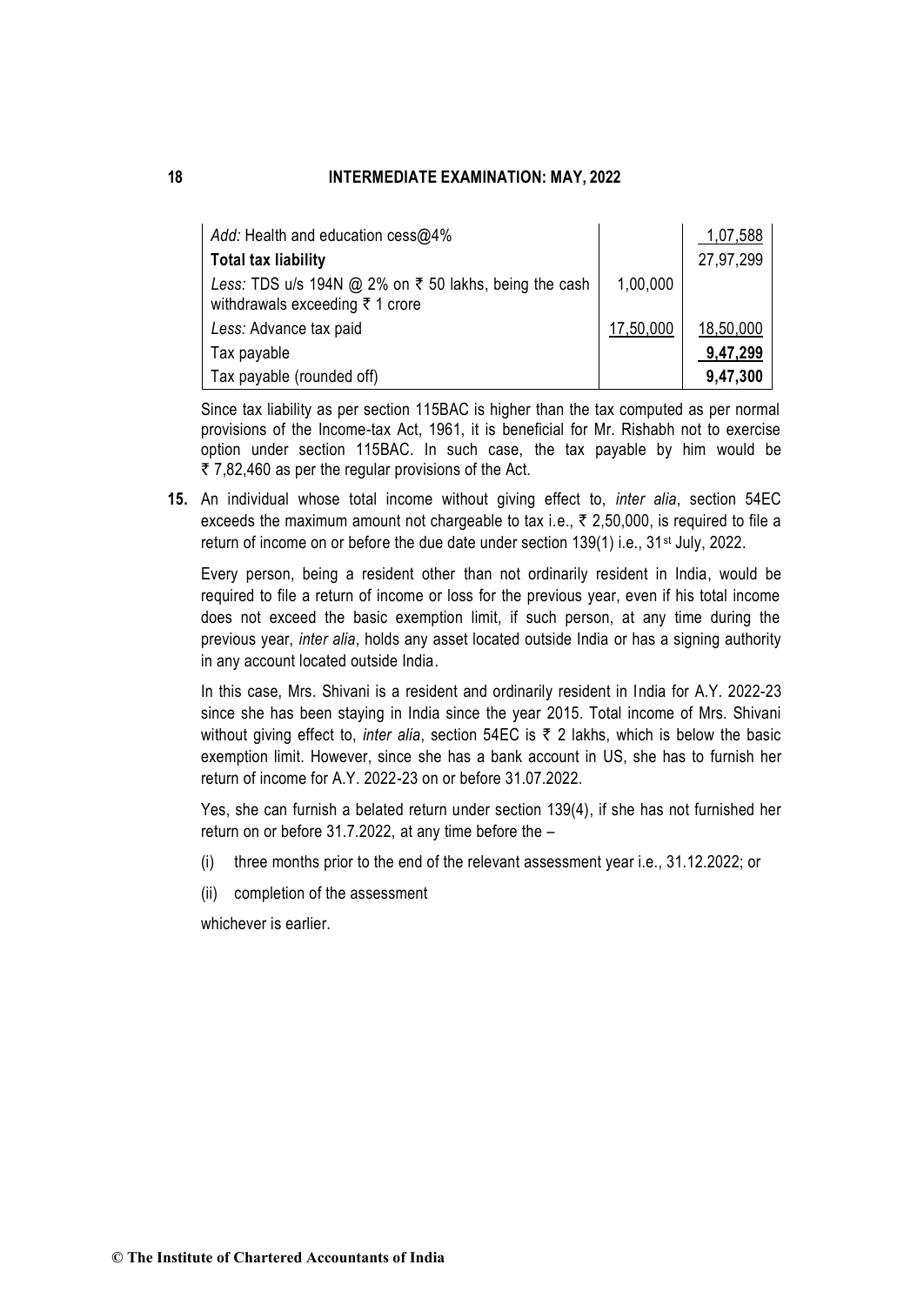| Add: Health and education $\cos \omega$ 4%                                                          |           | 1,07,588  |
|-----------------------------------------------------------------------------------------------------|-----------|-----------|
| <b>Total tax liability</b>                                                                          |           | 27,97,299 |
| Less: TDS u/s 194N @ 2% on $\bar{\tau}$ 50 lakhs, being the cash<br>withdrawals exceeding ₹ 1 crore | 1,00,000  |           |
| Less: Advance tax paid                                                                              | 17,50,000 | 18,50,000 |
| Tax payable                                                                                         |           | 9,47,299  |
| Tax payable (rounded off)                                                                           |           | 9,47,300  |

Since tax liability as per section 115BAC is higher than the tax computed as per normal provisions of the Income-tax Act, 1961, it is beneficial for Mr. Rishabh not to exercise option under section 115BAC. In such case, the tax payable by him would be  $\overline{z}$  7,82,460 as per the regular provisions of the Act.

**15.** An individual whose total income without giving effect to, *inter alia*, section 54EC exceeds the maximum amount not chargeable to tax i.e.,  $\bar{\tau}$  2,50,000, is required to file a return of income on or before the due date under section 139(1) i.e., 31<sup>st</sup> July, 2022.

Every person, being a resident other than not ordinarily resident in India, would be required to file a return of income or loss for the previous year, even if his total income does not exceed the basic exemption limit, if such person, at any time during the previous year, *inter alia*, holds any asset located outside India or has a signing authority in any account located outside India.

In this case, Mrs. Shivani is a resident and ordinarily resident in India for A.Y. 2022-23 since she has been staying in India since the year 2015. Total income of Mrs. Shivani without giving effect to, *inter alia*, section 54EC is  $\bar{\tau}$  2 lakhs, which is below the basic exemption limit. However, since she has a bank account in US, she has to furnish her return of income for A.Y. 2022-23 on or before 31.07.2022.

Yes, she can furnish a belated return under section 139(4), if she has not furnished her return on or before 31.7.2022, at any time before the –

- (i) three months prior to the end of the relevant assessment year i.e., 31.12.2022; or
- (ii) completion of the assessment

whichever is earlier.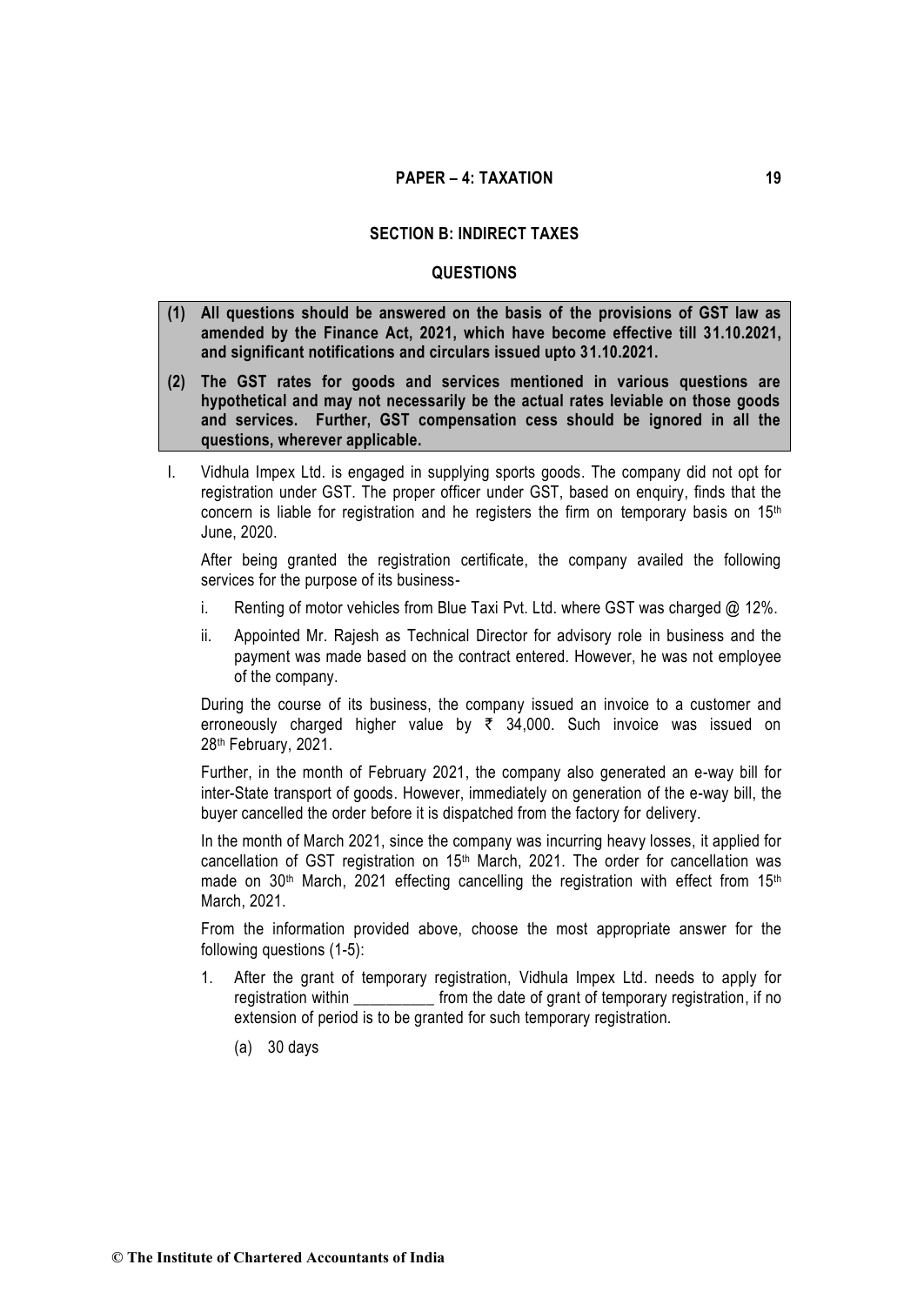#### **SECTION B: INDIRECT TAXES**

#### **QUESTIONS**

- **(1) All questions should be answered on the basis of the provisions of GST law as amended by the Finance Act, 2021, which have become effective till 31.10.2021, and significant notifications and circulars issued upto 31.10.2021.**
- **(2) The GST rates for goods and services mentioned in various questions are hypothetical and may not necessarily be the actual rates leviable on those goods and services. Further, GST compensation cess should be ignored in all the questions, wherever applicable.**
- I. Vidhula Impex Ltd. is engaged in supplying sports goods. The company did not opt for registration under GST. The proper officer under GST, based on enquiry, finds that the concern is liable for registration and he registers the firm on temporary basis on 15<sup>th</sup> June, 2020.

After being granted the registration certificate, the company availed the following services for the purpose of its business-

- i. Renting of motor vehicles from Blue Taxi Pvt. Ltd. where GST was charged @ 12%.
- ii. Appointed Mr. Rajesh as Technical Director for advisory role in business and the payment was made based on the contract entered. However, he was not employee of the company.

During the course of its business, the company issued an invoice to a customer and erroneously charged higher value by  $\bar{\tau}$  34,000. Such invoice was issued on 28th February, 2021.

Further, in the month of February 2021, the company also generated an e-way bill for inter-State transport of goods. However, immediately on generation of the e-way bill, the buyer cancelled the order before it is dispatched from the factory for delivery.

In the month of March 2021, since the company was incurring heavy losses, it applied for cancellation of GST registration on 15<sup>th</sup> March, 2021. The order for cancellation was made on 30<sup>th</sup> March, 2021 effecting cancelling the registration with effect from 15<sup>th</sup> March, 2021.

From the information provided above, choose the most appropriate answer for the following questions (1-5):

- 1. After the grant of temporary registration, Vidhula Impex Ltd. needs to apply for registration within \_\_\_\_\_\_\_\_\_\_\_\_ from the date of grant of temporary registration, if no extension of period is to be granted for such temporary registration.
	- (a) 30 days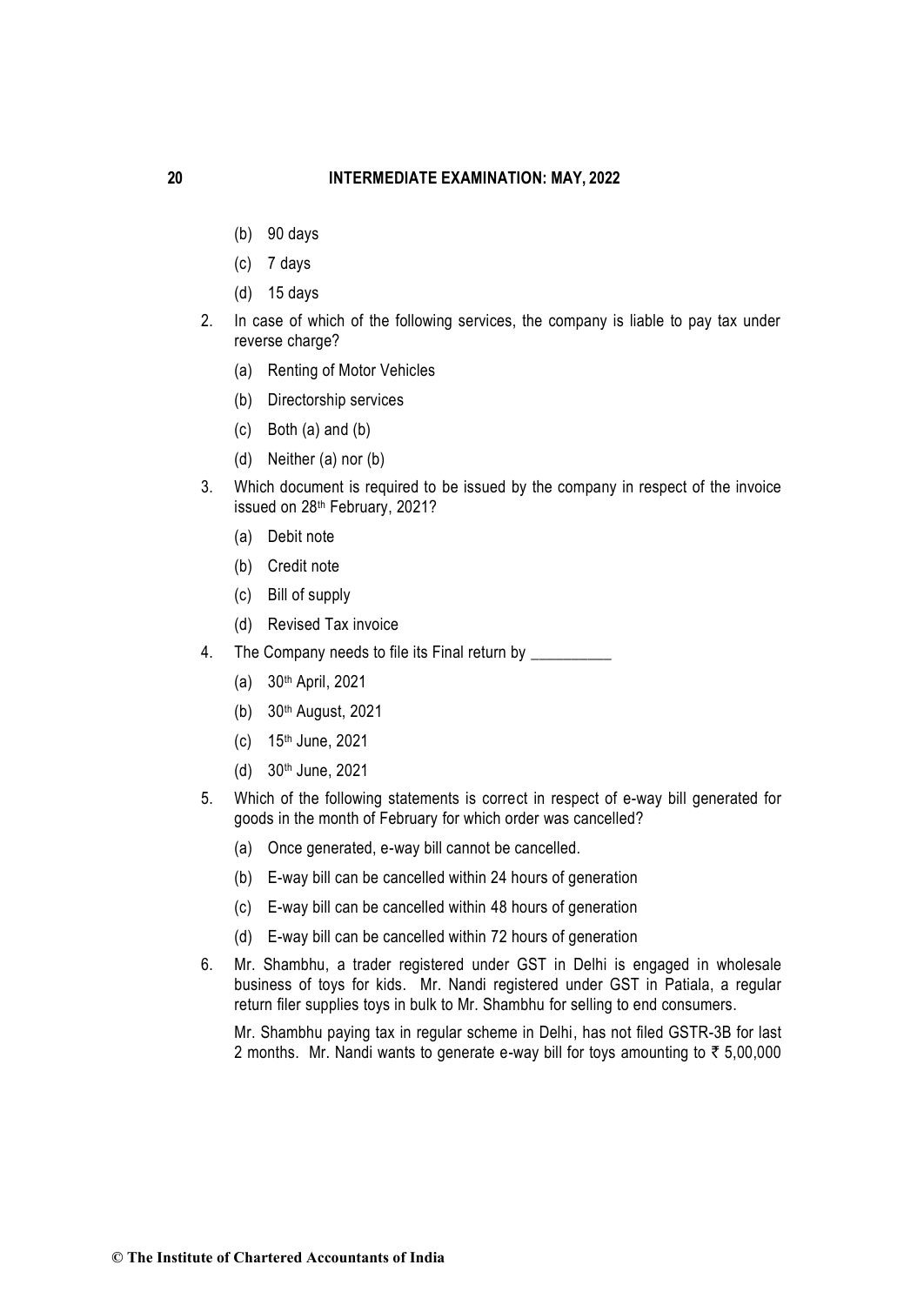- (b) 90 days
- (c) 7 days
- (d) 15 days
- 2. In case of which of the following services, the company is liable to pay tax under reverse charge?
	- (a) Renting of Motor Vehicles
	- (b) Directorship services
	- (c) Both (a) and (b)
	- (d) Neither (a) nor (b)
- 3. Which document is required to be issued by the company in respect of the invoice issued on 28<sup>th</sup> February, 2021?
	- (a) Debit note
	- (b) Credit note
	- (c) Bill of supply
	- (d) Revised Tax invoice
- 4. The Company needs to file its Final return by
	- (a) 30th April, 2021
	- (b) 30th August, 2021
	- (c) 15th June, 2021
	- (d) 30th June, 2021
- 5. Which of the following statements is correct in respect of e-way bill generated for goods in the month of February for which order was cancelled?
	- (a) Once generated, e-way bill cannot be cancelled.
	- (b) E-way bill can be cancelled within 24 hours of generation
	- (c) E-way bill can be cancelled within 48 hours of generation
	- (d) E-way bill can be cancelled within 72 hours of generation
- 6. Mr. Shambhu, a trader registered under GST in Delhi is engaged in wholesale business of toys for kids. Mr. Nandi registered under GST in Patiala, a regular return filer supplies toys in bulk to Mr. Shambhu for selling to end consumers.

Mr. Shambhu paying tax in regular scheme in Delhi, has not filed GSTR-3B for last 2 months. Mr. Nandi wants to generate e-way bill for toys amounting to  $\bar{\tau}$  5,00,000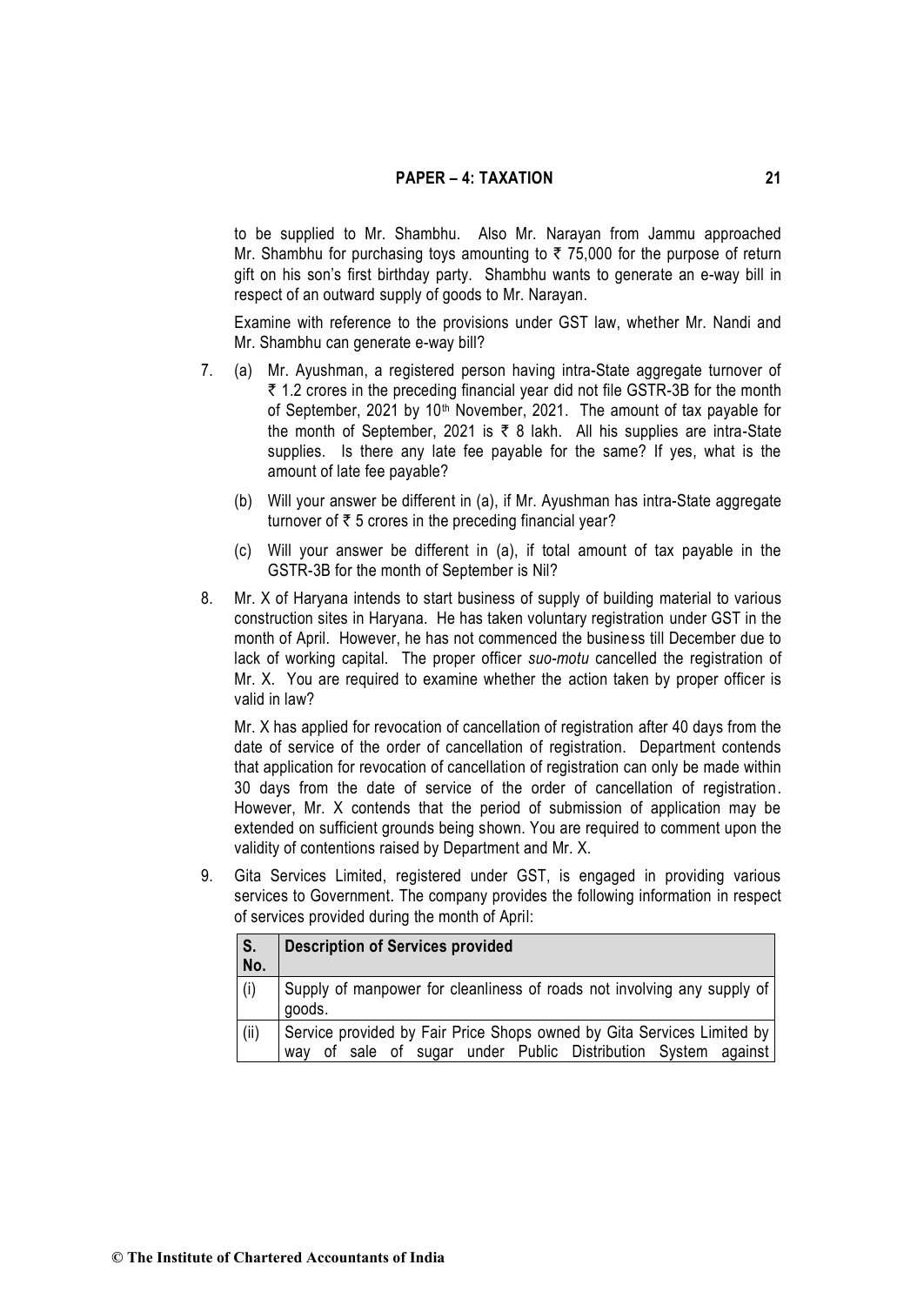to be supplied to Mr. Shambhu. Also Mr. Narayan from Jammu approached Mr. Shambhu for purchasing toys amounting to  $\bar{\tau}$  75,000 for the purpose of return gift on his son's first birthday party. Shambhu wants to generate an e-way bill in respect of an outward supply of goods to Mr. Narayan.

Examine with reference to the provisions under GST law, whether Mr. Nandi and Mr. Shambhu can generate e-way bill?

- 7. (a) Mr. Ayushman, a registered person having intra-State aggregate turnover of  $\bar{\tau}$  1.2 crores in the preceding financial year did not file GSTR-3B for the month of September, 2021 by 10<sup>th</sup> November, 2021. The amount of tax payable for the month of September, 2021 is  $\bar{\tau}$  8 lakh. All his supplies are intra-State supplies. Is there any late fee payable for the same? If yes, what is the amount of late fee payable?
	- (b) Will your answer be different in (a), if Mr. Ayushman has intra-State aggregate turnover of  $\bar{\tau}$  5 crores in the preceding financial year?
	- (c) Will your answer be different in (a), if total amount of tax payable in the GSTR-3B for the month of September is Nil?
- 8. Mr. X of Haryana intends to start business of supply of building material to various construction sites in Haryana. He has taken voluntary registration under GST in the month of April. However, he has not commenced the business till December due to lack of working capital. The proper officer *suo-motu* cancelled the registration of Mr. X. You are required to examine whether the action taken by proper officer is valid in law?

Mr. X has applied for revocation of cancellation of registration after 40 days from the date of service of the order of cancellation of registration. Department contends that application for revocation of cancellation of registration can only be made within 30 days from the date of service of the order of cancellation of registration. However, Mr. X contends that the period of submission of application may be extended on sufficient grounds being shown. You are required to comment upon the validity of contentions raised by Department and Mr. X.

9. Gita Services Limited, registered under GST, is engaged in providing various services to Government. The company provides the following information in respect of services provided during the month of April:

| $\overline{\mathsf{s}}$ .<br>No. | <b>Description of Services provided</b>                                                                                                    |
|----------------------------------|--------------------------------------------------------------------------------------------------------------------------------------------|
| (i)                              | Supply of manpower for cleanliness of roads not involving any supply of<br>goods.                                                          |
| (ii)                             | Service provided by Fair Price Shops owned by Gita Services Limited by<br>of sale of sugar under Public Distribution System against<br>wav |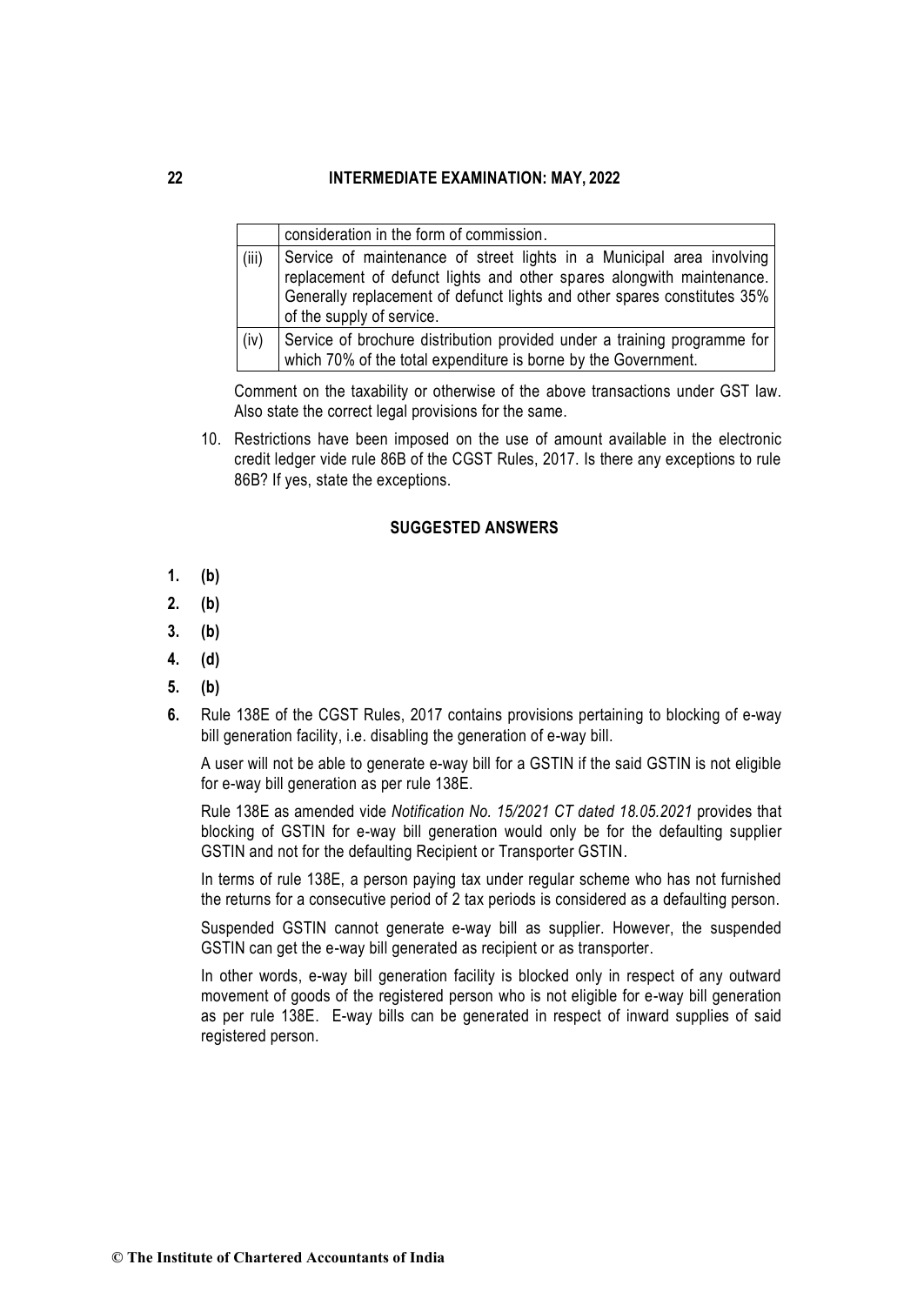|       | consideration in the form of commission.                                                                                                                                                                                                                |
|-------|---------------------------------------------------------------------------------------------------------------------------------------------------------------------------------------------------------------------------------------------------------|
| (iii) | Service of maintenance of street lights in a Municipal area involving<br>replacement of defunct lights and other spares alongwith maintenance.<br>Generally replacement of defunct lights and other spares constitutes 35%<br>of the supply of service. |
| (iv)  | Service of brochure distribution provided under a training programme for<br>which 70% of the total expenditure is borne by the Government.                                                                                                              |

Comment on the taxability or otherwise of the above transactions under GST law. Also state the correct legal provisions for the same.

10. Restrictions have been imposed on the use of amount available in the electronic credit ledger vide rule 86B of the CGST Rules, 2017. Is there any exceptions to rule 86B? If yes, state the exceptions.

#### **SUGGESTED ANSWERS**

- **1. (b)**
- **2. (b)**
- **3. (b)**
- **4. (d)**
- **5. (b)**
- **6.** Rule 138E of the CGST Rules, 2017 contains provisions pertaining to blocking of e-way bill generation facility, i.e. disabling the generation of e-way bill.

A user will not be able to generate e-way bill for a GSTIN if the said GSTIN is not eligible for e-way bill generation as per rule 138E.

Rule 138E as amended vide *Notification No. 15/2021 CT dated 18.05.2021* provides that blocking of GSTIN for e-way bill generation would only be for the defaulting supplier GSTIN and not for the defaulting Recipient or Transporter GSTIN.

In terms of rule 138E, a person paying tax under regular scheme who has not furnished the returns for a consecutive period of 2 tax periods is considered as a defaulting person.

Suspended GSTIN cannot generate e-way bill as supplier. However, the suspended GSTIN can get the e-way bill generated as recipient or as transporter.

In other words, e-way bill generation facility is blocked only in respect of any outward movement of goods of the registered person who is not eligible for e-way bill generation as per rule 138E. E-way bills can be generated in respect of inward supplies of said registered person.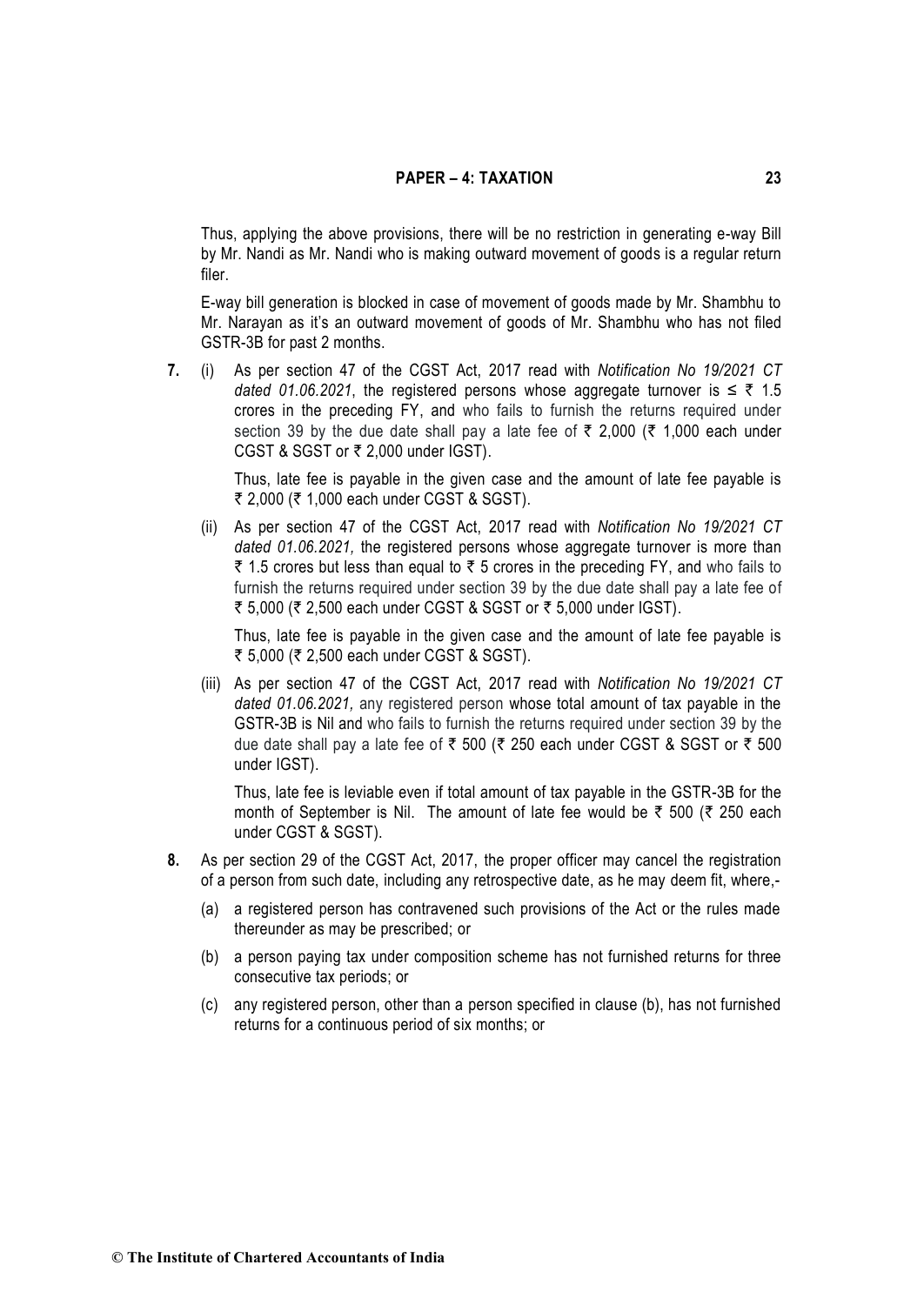Thus, applying the above provisions, there will be no restriction in generating e-way Bill by Mr. Nandi as Mr. Nandi who is making outward movement of goods is a regular return filer.

E-way bill generation is blocked in case of movement of goods made by Mr. Shambhu to Mr. Narayan as it's an outward movement of goods of Mr. Shambhu who has not filed GSTR-3B for past 2 months.

**7.** (i) As per section 47 of the CGST Act, 2017 read with *Notification No 19/2021 CT*  dated 01.06.2021, the registered persons whose aggregate turnover is  $\leq \bar{\tau}$  1.5 crores in the preceding FY, and who fails to furnish the returns required under section 39 by the due date shall pay a late fee of  $\bar{\tau}$  2,000 ( $\bar{\tau}$  1,000 each under CGST & SGST or  $\overline{\tau}$  2,000 under IGST).

> Thus, late fee is payable in the given case and the amount of late fee payable is ₹ 2,000 (₹ 1,000 each under CGST & SGST).

(ii) As per section 47 of the CGST Act, 2017 read with *Notification No 19/2021 CT dated 01.06.2021,* the registered persons whose aggregate turnover is more than ₹ 1.5 crores but less than equal to ₹ 5 crores in the preceding FY, and who fails to furnish the returns required under section 39 by the due date shall pay a late fee of ₹ 5,000 (₹ 2,500 each under CGST & SGST or ₹ 5,000 under IGST).

Thus, late fee is payable in the given case and the amount of late fee payable is ₹ 5,000 (₹ 2,500 each under CGST & SGST).

(iii) As per section 47 of the CGST Act, 2017 read with *Notification No 19/2021 CT dated 01.06.2021,* any registered person whose total amount of tax payable in the GSTR-3B is Nil and who fails to furnish the returns required under section 39 by the due date shall pay a late fee of  $\bar{\tau}$  500 ( $\bar{\tau}$  250 each under CGST & SGST or  $\bar{\tau}$  500 under IGST).

Thus, late fee is leviable even if total amount of tax payable in the GSTR-3B for the month of September is Nil. The amount of late fee would be  $\bar{\tau}$  500 ( $\bar{\tau}$  250 each under CGST & SGST).

- **8.** As per section 29 of the CGST Act, 2017, the proper officer may cancel the registration of a person from such date, including any retrospective date, as he may deem fit, where,-
	- (a) a registered person has contravened such provisions of the Act or the rules made thereunder as may be prescribed; or
	- (b) a person paying tax under composition scheme has not furnished returns for three consecutive tax periods; or
	- (c) any registered person, other than a person specified in clause (b), has not furnished returns for a continuous period of six months; or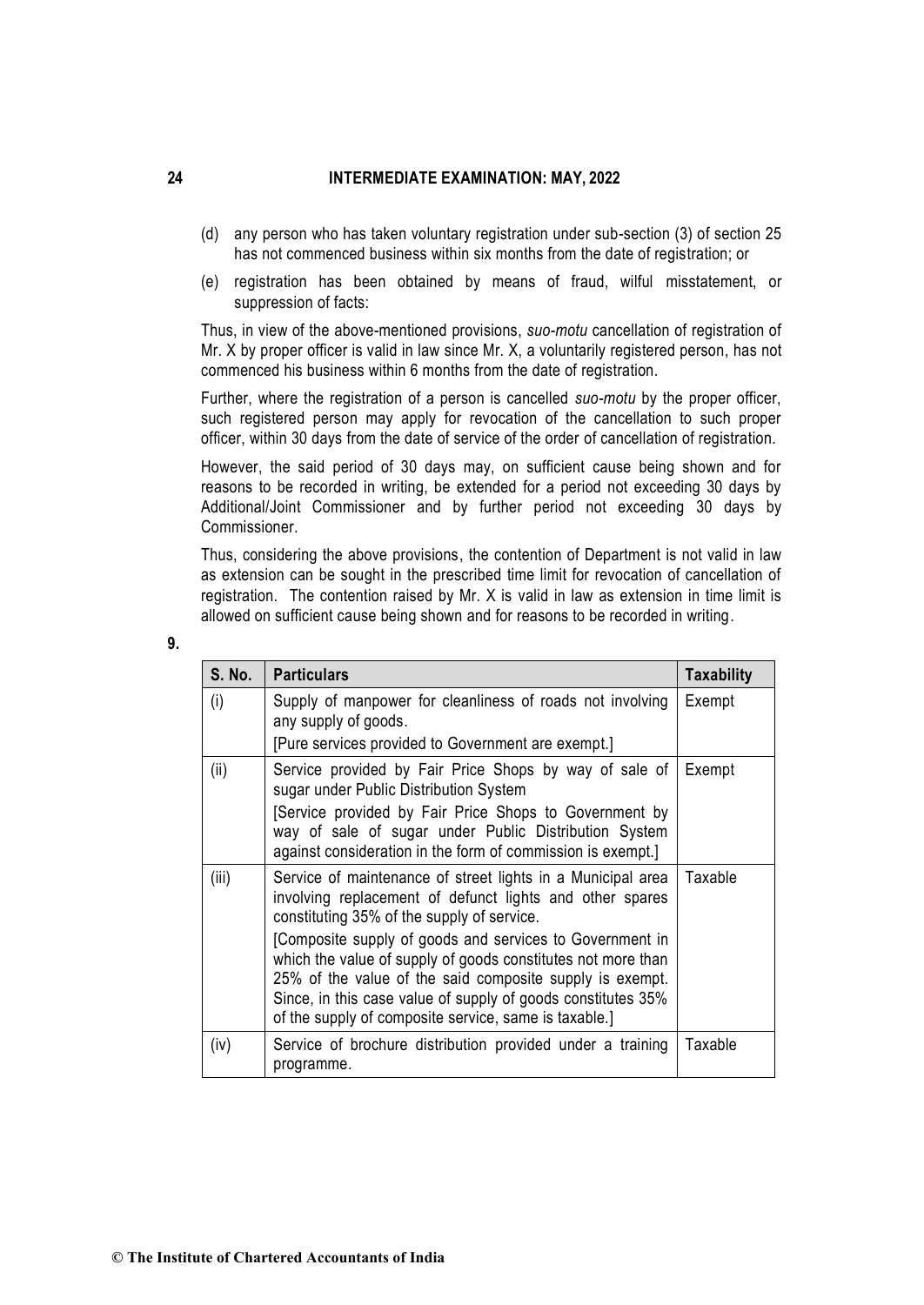- (d) any person who has taken voluntary registration under sub-section (3) of section 25 has not commenced business within six months from the date of registration; or
- (e) registration has been obtained by means of fraud, wilful misstatement, or suppression of facts:

Thus, in view of the above-mentioned provisions, *suo-motu* cancellation of registration of Mr. X by proper officer is valid in law since Mr. X, a voluntarily registered person, has not commenced his business within 6 months from the date of registration.

Further, where the registration of a person is cancelled *suo-motu* by the proper officer, such registered person may apply for revocation of the cancellation to such proper officer, within 30 days from the date of service of the order of cancellation of registration.

However, the said period of 30 days may, on sufficient cause being shown and for reasons to be recorded in writing, be extended for a period not exceeding 30 days by Additional/Joint Commissioner and by further period not exceeding 30 days by Commissioner.

Thus, considering the above provisions, the contention of Department is not valid in law as extension can be sought in the prescribed time limit for revocation of cancellation of registration. The contention raised by Mr. X is valid in law as extension in time limit is allowed on sufficient cause being shown and for reasons to be recorded in writing.

| <b>S. No.</b> | <b>Particulars</b>                                                                                                                                                                                                                                                                                                                                                                                                                                                                     | <b>Taxability</b> |
|---------------|----------------------------------------------------------------------------------------------------------------------------------------------------------------------------------------------------------------------------------------------------------------------------------------------------------------------------------------------------------------------------------------------------------------------------------------------------------------------------------------|-------------------|
| (i)           | Supply of manpower for cleanliness of roads not involving<br>any supply of goods.<br>[Pure services provided to Government are exempt.]                                                                                                                                                                                                                                                                                                                                                | Exempt            |
| (ii)          | Service provided by Fair Price Shops by way of sale of<br>sugar under Public Distribution System<br>[Service provided by Fair Price Shops to Government by<br>way of sale of sugar under Public Distribution System<br>against consideration in the form of commission is exempt.]                                                                                                                                                                                                     | Exempt            |
| (iii)         | Service of maintenance of street lights in a Municipal area<br>involving replacement of defunct lights and other spares<br>constituting 35% of the supply of service.<br>[Composite supply of goods and services to Government in<br>which the value of supply of goods constitutes not more than<br>25% of the value of the said composite supply is exempt.<br>Since, in this case value of supply of goods constitutes 35%<br>of the supply of composite service, same is taxable.] | Taxable           |
| (iv)          | Service of brochure distribution provided under a training<br>programme.                                                                                                                                                                                                                                                                                                                                                                                                               | Taxable           |

| ٦            |         |
|--------------|---------|
| ×<br>×<br>۰. | ٠<br>۰, |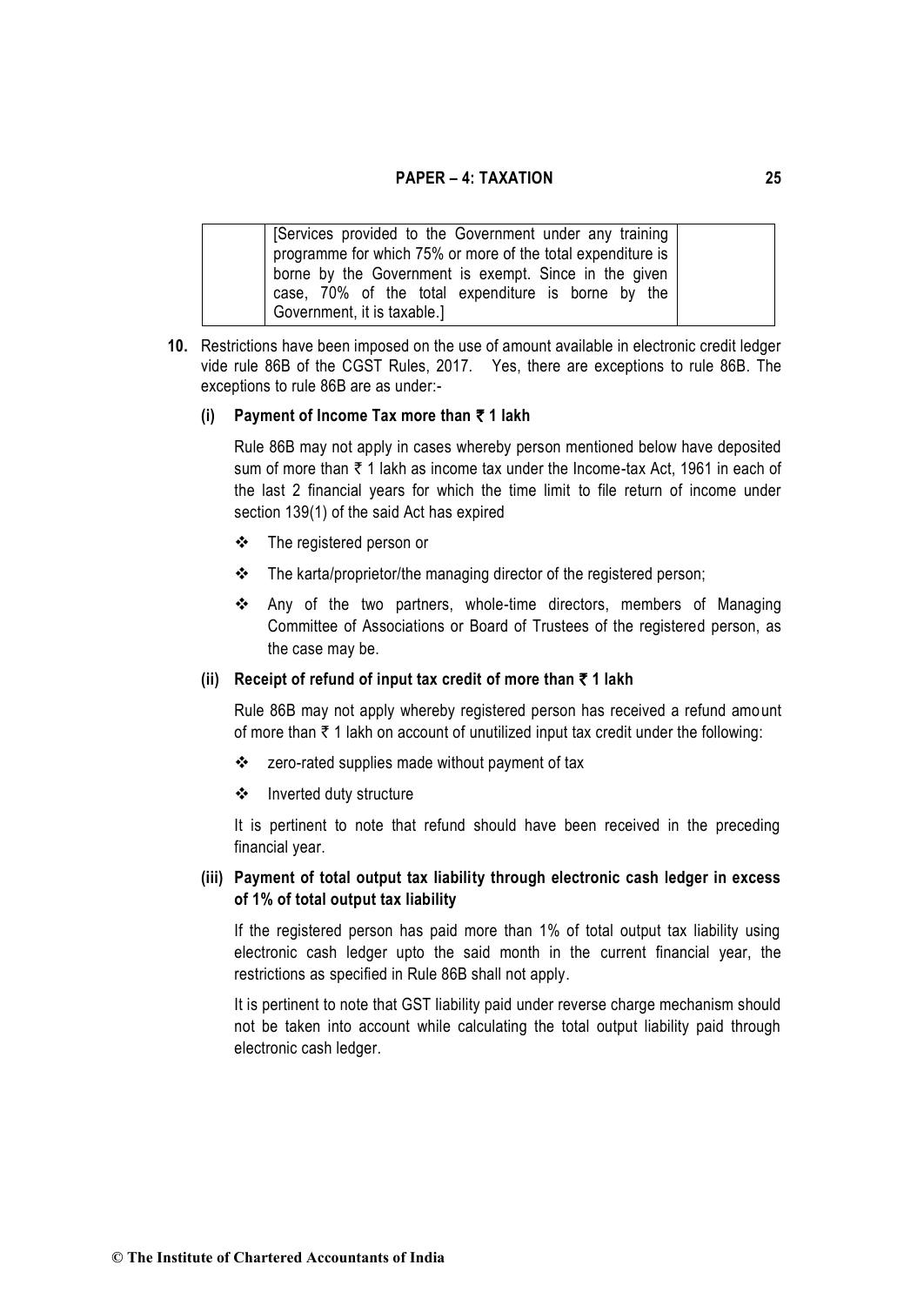| Services provided to the Government under any training<br>programme for which 75% or more of the total expenditure is                      |  |
|--------------------------------------------------------------------------------------------------------------------------------------------|--|
| borne by the Government is exempt. Since in the given<br>case, 70% of the total expenditure is borne by the<br>Government, it is taxable.] |  |

**10.** Restrictions have been imposed on the use of amount available in electronic credit ledger vide rule 86B of the CGST Rules, 2017. Yes, there are exceptions to rule 86B. The exceptions to rule 86B are as under:-

#### **(i) Payment of Income Tax more than** ` **1 lakh**

Rule 86B may not apply in cases whereby person mentioned below have deposited sum of more than  $\bar{\tau}$  1 lakh as income tax under the Income-tax Act, 1961 in each of the last 2 financial years for which the time limit to file return of income under section 139(1) of the said Act has expired

- ❖ The registered person or
- ❖ The karta/proprietor/the managing director of the registered person;
- ❖ Any of the two partners, whole-time directors, members of Managing Committee of Associations or Board of Trustees of the registered person, as the case may be.

# **(ii) Receipt of refund of input tax credit of more than** ` **1 lakh**

Rule 86B may not apply whereby registered person has received a refund amount of more than  $\bar{\tau}$  1 lakh on account of unutilized input tax credit under the following:

- ❖ zero-rated supplies made without payment of tax
- ❖ Inverted duty structure

It is pertinent to note that refund should have been received in the preceding financial year.

# **(iii) Payment of total output tax liability through electronic cash ledger in excess of 1% of total output tax liability**

If the registered person has paid more than 1% of total output tax liability using electronic cash ledger upto the said month in the current financial year, the restrictions as specified in Rule 86B shall not apply.

It is pertinent to note that GST liability paid under reverse charge mechanism should not be taken into account while calculating the total output liability paid through electronic cash ledger.